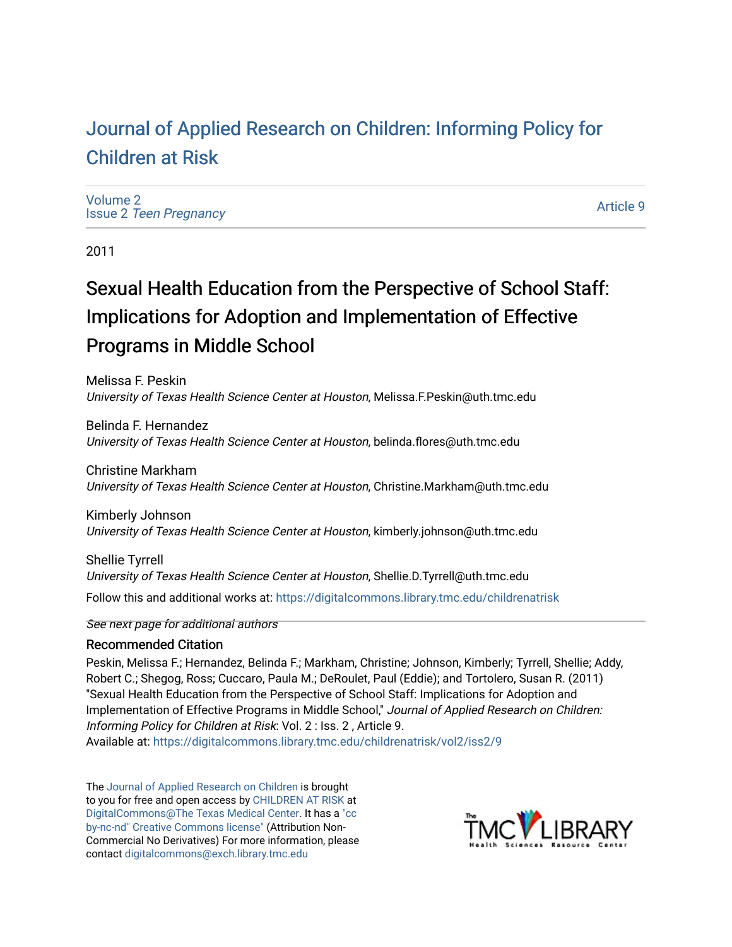# [Journal of Applied Research on Children: Informing Policy for](https://digitalcommons.library.tmc.edu/childrenatrisk) [Children at Risk](https://digitalcommons.library.tmc.edu/childrenatrisk)

[Volume 2](https://digitalcommons.library.tmc.edu/childrenatrisk/vol2) Issue 2 [Teen Pregnancy](https://digitalcommons.library.tmc.edu/childrenatrisk/vol2/iss2) 

[Article 9](https://digitalcommons.library.tmc.edu/childrenatrisk/vol2/iss2/9) 

2011

# Sexual Health Education from the Perspective of School Staff: Implications for Adoption and Implementation of Effective Programs in Middle School

Melissa F. Peskin University of Texas Health Science Center at Houston, Melissa.F.Peskin@uth.tmc.edu

Belinda F. Hernandez University of Texas Health Science Center at Houston, belinda.flores@uth.tmc.edu

Christine Markham University of Texas Health Science Center at Houston, Christine.Markham@uth.tmc.edu

Kimberly Johnson University of Texas Health Science Center at Houston, kimberly.johnson@uth.tmc.edu

Shellie Tyrrell University of Texas Health Science Center at Houston, Shellie.D.Tyrrell@uth.tmc.edu Follow this and additional works at: [https://digitalcommons.library.tmc.edu/childrenatrisk](https://digitalcommons.library.tmc.edu/childrenatrisk?utm_source=digitalcommons.library.tmc.edu%2Fchildrenatrisk%2Fvol2%2Fiss2%2F9&utm_medium=PDF&utm_campaign=PDFCoverPages) 

See next page for additional authors

### Recommended Citation

Peskin, Melissa F.; Hernandez, Belinda F.; Markham, Christine; Johnson, Kimberly; Tyrrell, Shellie; Addy, Robert C.; Shegog, Ross; Cuccaro, Paula M.; DeRoulet, Paul (Eddie); and Tortolero, Susan R. (2011) "Sexual Health Education from the Perspective of School Staff: Implications for Adoption and Implementation of Effective Programs in Middle School," Journal of Applied Research on Children: Informing Policy for Children at Risk: Vol. 2 : Iss. 2 , Article 9. Available at: [https://digitalcommons.library.tmc.edu/childrenatrisk/vol2/iss2/9](https://digitalcommons.library.tmc.edu/childrenatrisk/vol2/iss2/9?utm_source=digitalcommons.library.tmc.edu%2Fchildrenatrisk%2Fvol2%2Fiss2%2F9&utm_medium=PDF&utm_campaign=PDFCoverPages)

The [Journal of Applied Research on Children](http://digitalcommons.library.tmc.edu/childrenatrisk) is brought to you for free and open access by [CHILDREN AT RISK](http://childrenatrisk.org/) at [DigitalCommons@The Texas Medical Center](http://digitalcommons.library.tmc.edu/). It has a ["cc](http://creativecommons.org/licenses/by-nc-nd/3.0/)  [by-nc-nd" Creative Commons license"](http://creativecommons.org/licenses/by-nc-nd/3.0/) (Attribution Non-Commercial No Derivatives) For more information, please contact [digitalcommons@exch.library.tmc.edu](mailto:digitalcommons@exch.library.tmc.edu) 

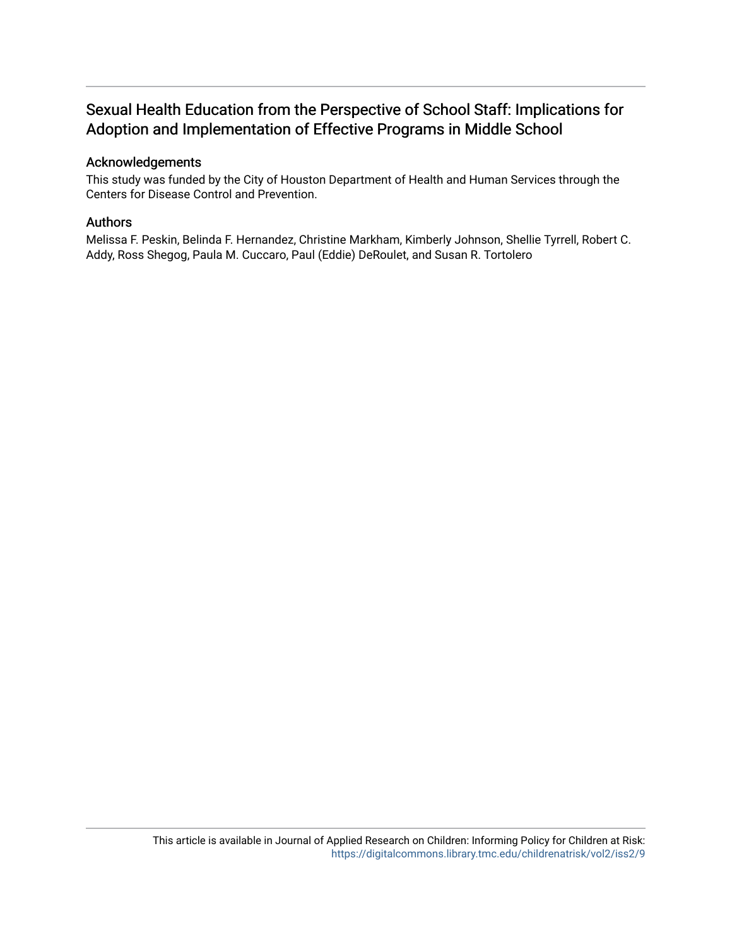# Sexual Health Education from the Perspective of School Staff: Implications for Adoption and Implementation of Effective Programs in Middle School

### Acknowledgements

This study was funded by the City of Houston Department of Health and Human Services through the Centers for Disease Control and Prevention.

### Authors

Melissa F. Peskin, Belinda F. Hernandez, Christine Markham, Kimberly Johnson, Shellie Tyrrell, Robert C. Addy, Ross Shegog, Paula M. Cuccaro, Paul (Eddie) DeRoulet, and Susan R. Tortolero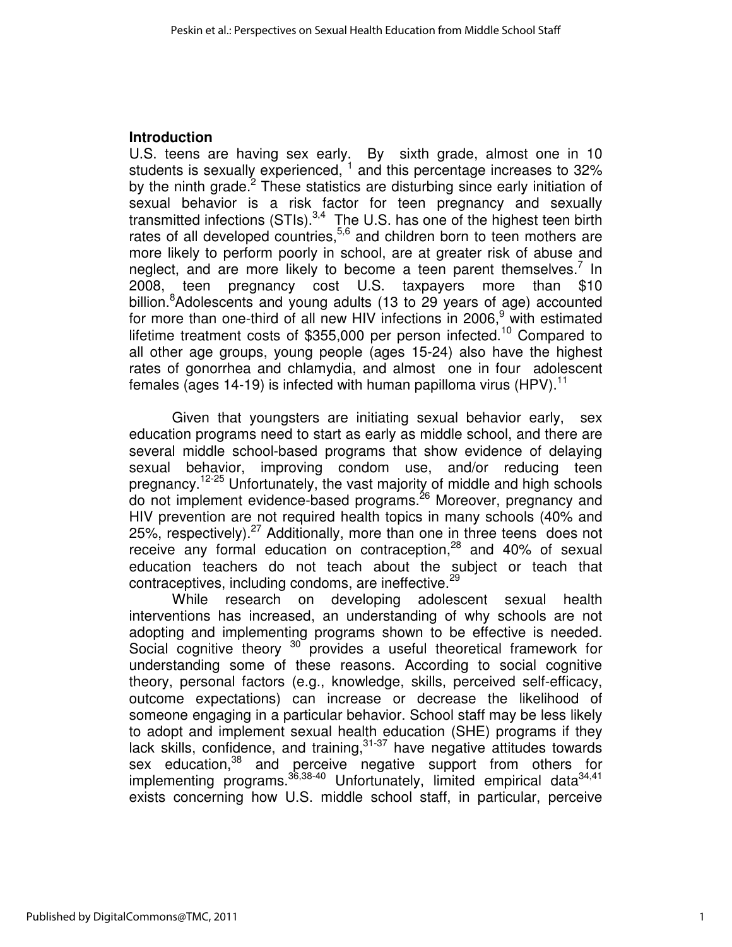### **Introduction**

U.S. teens are having sex early. By sixth grade, almost one in 10 students is sexually experienced,  $1$  and this percentage increases to 32% by the ninth grade.<sup>2</sup> These statistics are disturbing since early initiation of sexual behavior is a risk factor for teen pregnancy and sexually transmitted infections  $(STIs).<sup>3,4</sup>$  The U.S. has one of the highest teen birth rates of all developed countries,<sup>5,6</sup> and children born to teen mothers are more likely to perform poorly in school, are at greater risk of abuse and neglect, and are more likely to become a teen parent themselves.<sup>7</sup> In 2008, teen pregnancy cost U.S. taxpayers more than \$10 billion.<sup>8</sup>Adolescents and young adults (13 to 29 years of age) accounted for more than one-third of all new HIV infections in 2006,<sup>9</sup> with estimated lifetime treatment costs of \$355,000 per person infected.<sup>10</sup> Compared to all other age groups, young people (ages 15-24) also have the highest rates of gonorrhea and chlamydia, and almost one in four adolescent females (ages 14-19) is infected with human papilloma virus (HPV).<sup>11</sup>

 Given that youngsters are initiating sexual behavior early, sex education programs need to start as early as middle school, and there are several middle school-based programs that show evidence of delaying sexual behavior, improving condom use, and/or reducing teen pregnancy.12-25 Unfortunately, the vast majority of middle and high schools do not implement evidence-based programs.<sup>26</sup> Moreover, pregnancy and HIV prevention are not required health topics in many schools (40% and 25%, respectively). $27$  Additionally, more than one in three teens does not receive any formal education on contraception, $28$  and 40% of sexual education teachers do not teach about the subject or teach that contraceptives, including condoms, are ineffective. $^{29}$ 

While research on developing adolescent sexual health interventions has increased, an understanding of why schools are not adopting and implementing programs shown to be effective is needed. Social cognitive theory  $30^\circ$  provides a useful theoretical framework for understanding some of these reasons. According to social cognitive theory, personal factors (e.g., knowledge, skills, perceived self-efficacy, outcome expectations) can increase or decrease the likelihood of someone engaging in a particular behavior. School staff may be less likely to adopt and implement sexual health education (SHE) programs if they lack skills, confidence, and training,  $31-37$  have negative attitudes towards sex education,<sup>38</sup> and perceive negative support from others for implementing programs.<sup>36,38-40</sup> Unfortunately, limited empirical data<sup>34,41</sup> exists concerning how U.S. middle school staff, in particular, perceive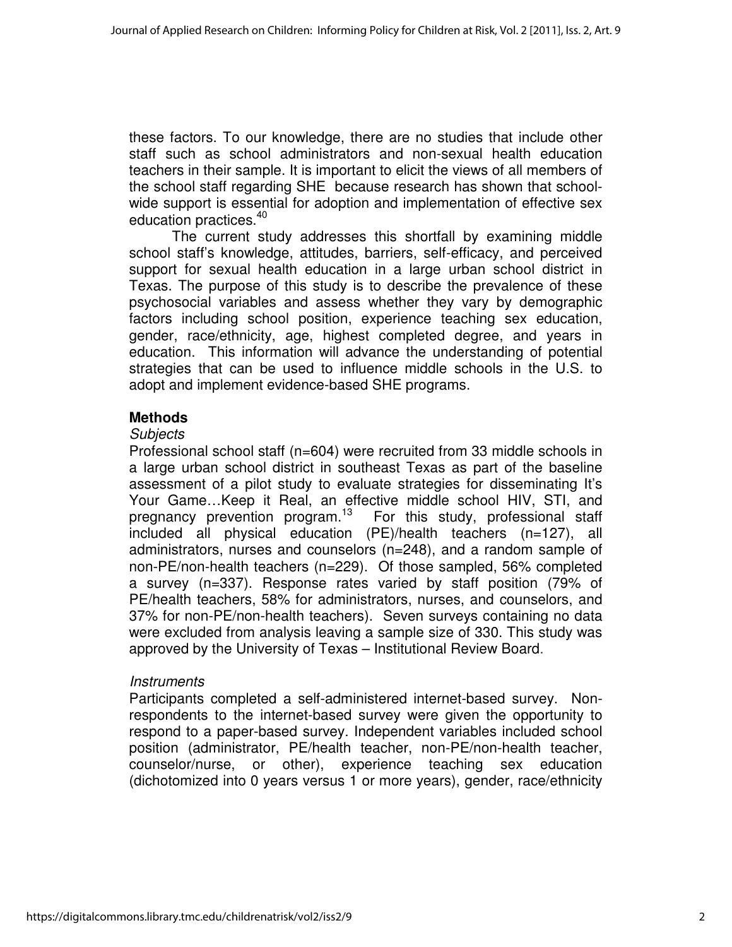these factors. To our knowledge, there are no studies that include other staff such as school administrators and non-sexual health education teachers in their sample. It is important to elicit the views of all members of the school staff regarding SHE because research has shown that schoolwide support is essential for adoption and implementation of effective sex education practices.<sup>40</sup>

The current study addresses this shortfall by examining middle school staff's knowledge, attitudes, barriers, self-efficacy, and perceived support for sexual health education in a large urban school district in Texas. The purpose of this study is to describe the prevalence of these psychosocial variables and assess whether they vary by demographic factors including school position, experience teaching sex education, gender, race/ethnicity, age, highest completed degree, and years in education. This information will advance the understanding of potential strategies that can be used to influence middle schools in the U.S. to adopt and implement evidence-based SHE programs.

## **Methods**

### **Subjects**

Professional school staff (n=604) were recruited from 33 middle schools in a large urban school district in southeast Texas as part of the baseline assessment of a pilot study to evaluate strategies for disseminating It's Your Game…Keep it Real, an effective middle school HIV, STI, and pregnancy prevention program.<sup>13</sup> For this study, professional staff included all physical education (PE)/health teachers (n=127), all administrators, nurses and counselors (n=248), and a random sample of non-PE/non-health teachers (n=229). Of those sampled, 56% completed a survey (n=337). Response rates varied by staff position (79% of PE/health teachers, 58% for administrators, nurses, and counselors, and 37% for non-PE/non-health teachers). Seven surveys containing no data were excluded from analysis leaving a sample size of 330. This study was approved by the University of Texas – Institutional Review Board.

### **Instruments**

Participants completed a self-administered internet-based survey. Nonrespondents to the internet-based survey were given the opportunity to respond to a paper-based survey. Independent variables included school position (administrator, PE/health teacher, non-PE/non-health teacher, counselor/nurse, or other), experience teaching sex education (dichotomized into 0 years versus 1 or more years), gender, race/ethnicity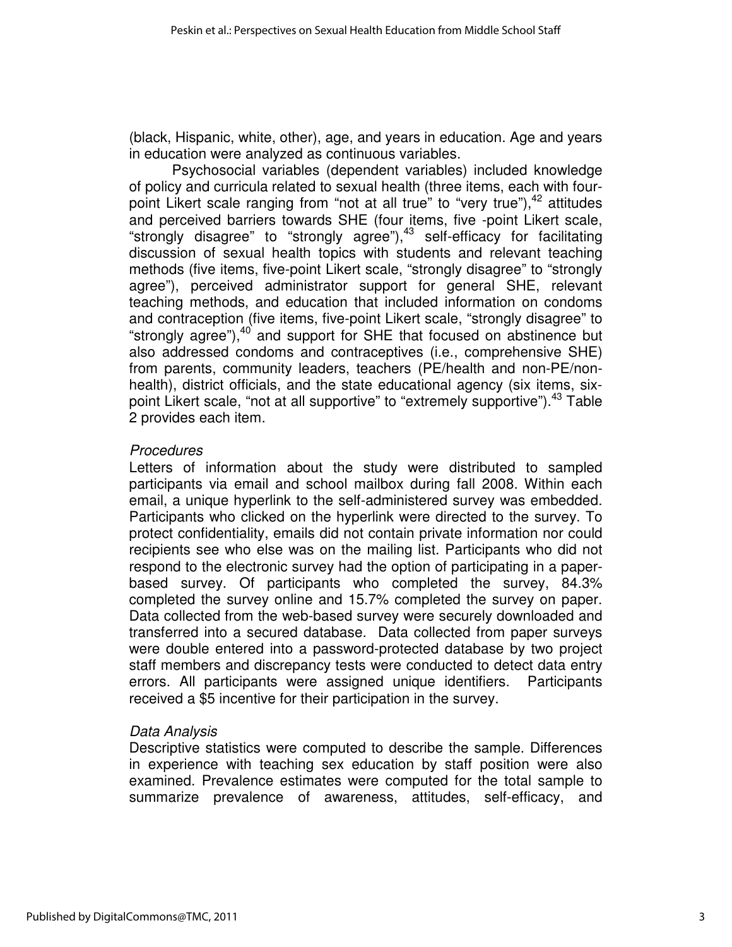(black, Hispanic, white, other), age, and years in education. Age and years in education were analyzed as continuous variables.

Psychosocial variables (dependent variables) included knowledge of policy and curricula related to sexual health (three items, each with fourpoint Likert scale ranging from "not at all true" to "very true"),  $42$  attitudes and perceived barriers towards SHE (four items, five -point Likert scale, "strongly disagree" to "strongly agree"), $43$  self-efficacy for facilitating discussion of sexual health topics with students and relevant teaching methods (five items, five-point Likert scale, "strongly disagree" to "strongly agree"), perceived administrator support for general SHE, relevant teaching methods, and education that included information on condoms and contraception (five items, five-point Likert scale, "strongly disagree" to "strongly agree"), $40$  and support for SHE that focused on abstinence but also addressed condoms and contraceptives (i.e., comprehensive SHE) from parents, community leaders, teachers (PE/health and non-PE/nonhealth), district officials, and the state educational agency (six items, sixpoint Likert scale, "not at all supportive" to "extremely supportive").<sup>43</sup> Table 2 provides each item.

### **Procedures**

Letters of information about the study were distributed to sampled participants via email and school mailbox during fall 2008. Within each email, a unique hyperlink to the self-administered survey was embedded. Participants who clicked on the hyperlink were directed to the survey. To protect confidentiality, emails did not contain private information nor could recipients see who else was on the mailing list. Participants who did not respond to the electronic survey had the option of participating in a paperbased survey. Of participants who completed the survey, 84.3% completed the survey online and 15.7% completed the survey on paper. Data collected from the web-based survey were securely downloaded and transferred into a secured database. Data collected from paper surveys were double entered into a password-protected database by two project staff members and discrepancy tests were conducted to detect data entry errors. All participants were assigned unique identifiers. Participants received a \$5 incentive for their participation in the survey.

### Data Analysis

Descriptive statistics were computed to describe the sample. Differences in experience with teaching sex education by staff position were also examined. Prevalence estimates were computed for the total sample to summarize prevalence of awareness, attitudes, self-efficacy, and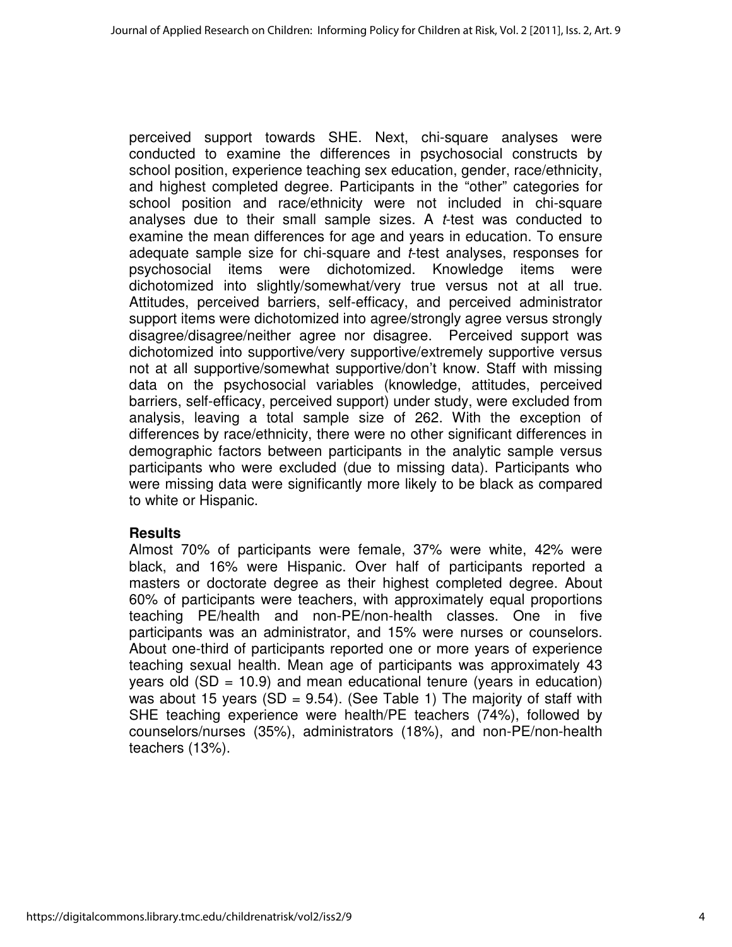perceived support towards SHE. Next, chi-square analyses were conducted to examine the differences in psychosocial constructs by school position, experience teaching sex education, gender, race/ethnicity, and highest completed degree. Participants in the "other" categories for school position and race/ethnicity were not included in chi-square analyses due to their small sample sizes. A t-test was conducted to examine the mean differences for age and years in education. To ensure adequate sample size for chi-square and *t*-test analyses, responses for psychosocial items were dichotomized. Knowledge items were dichotomized into slightly/somewhat/very true versus not at all true. Attitudes, perceived barriers, self-efficacy, and perceived administrator support items were dichotomized into agree/strongly agree versus strongly disagree/disagree/neither agree nor disagree. Perceived support was dichotomized into supportive/very supportive/extremely supportive versus not at all supportive/somewhat supportive/don't know. Staff with missing data on the psychosocial variables (knowledge, attitudes, perceived barriers, self-efficacy, perceived support) under study, were excluded from analysis, leaving a total sample size of 262. With the exception of differences by race/ethnicity, there were no other significant differences in demographic factors between participants in the analytic sample versus participants who were excluded (due to missing data). Participants who were missing data were significantly more likely to be black as compared to white or Hispanic.

### **Results**

Almost 70% of participants were female, 37% were white, 42% were black, and 16% were Hispanic. Over half of participants reported a masters or doctorate degree as their highest completed degree. About 60% of participants were teachers, with approximately equal proportions teaching PE/health and non-PE/non-health classes. One in five participants was an administrator, and 15% were nurses or counselors. About one-third of participants reported one or more years of experience teaching sexual health. Mean age of participants was approximately 43 years old  $(SD = 10.9)$  and mean educational tenure (years in education) was about 15 years (SD =  $9.54$ ). (See Table 1) The majority of staff with SHE teaching experience were health/PE teachers (74%), followed by counselors/nurses (35%), administrators (18%), and non-PE/non-health teachers (13%).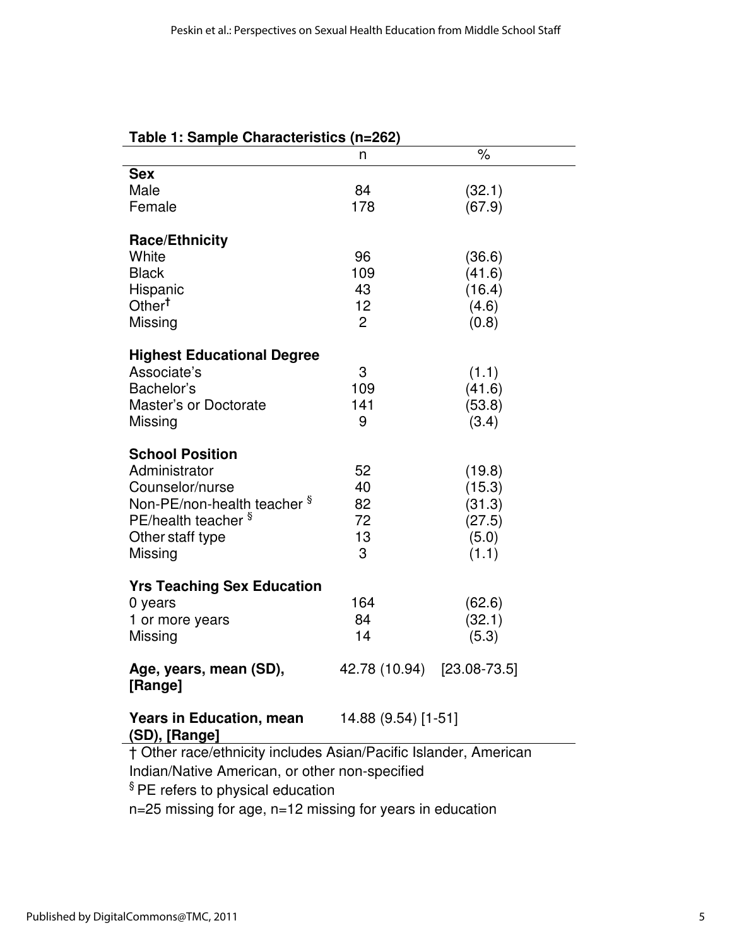| Table 1: Sample Characteristics (n=262)                          |                            |        |  |  |  |  |  |
|------------------------------------------------------------------|----------------------------|--------|--|--|--|--|--|
|                                                                  | n                          | $\%$   |  |  |  |  |  |
| <b>Sex</b>                                                       |                            |        |  |  |  |  |  |
| Male                                                             | 84                         | (32.1) |  |  |  |  |  |
| Female                                                           | 178                        | (67.9) |  |  |  |  |  |
|                                                                  |                            |        |  |  |  |  |  |
| <b>Race/Ethnicity</b>                                            |                            |        |  |  |  |  |  |
| White                                                            | 96                         | (36.6) |  |  |  |  |  |
| <b>Black</b>                                                     | 109                        | (41.6) |  |  |  |  |  |
| Hispanic                                                         | 43                         | (16.4) |  |  |  |  |  |
| Other <sup>t</sup>                                               | 12                         | (4.6)  |  |  |  |  |  |
| Missing                                                          | $\overline{2}$             | (0.8)  |  |  |  |  |  |
| <b>Highest Educational Degree</b>                                |                            |        |  |  |  |  |  |
| Associate's                                                      | 3                          | (1.1)  |  |  |  |  |  |
| Bachelor's                                                       | 109                        | (41.6) |  |  |  |  |  |
| Master's or Doctorate                                            | 141                        | (53.8) |  |  |  |  |  |
| Missing                                                          | 9                          | (3.4)  |  |  |  |  |  |
|                                                                  |                            |        |  |  |  |  |  |
| <b>School Position</b>                                           |                            |        |  |  |  |  |  |
| Administrator                                                    | 52                         | (19.8) |  |  |  |  |  |
| Counselor/nurse                                                  | 40                         | (15.3) |  |  |  |  |  |
| Non-PE/non-health teacher <sup>§</sup>                           | 82                         | (31.3) |  |  |  |  |  |
| PE/health teacher §                                              | 72                         | (27.5) |  |  |  |  |  |
| Other staff type                                                 | 13                         | (5.0)  |  |  |  |  |  |
| Missing                                                          | 3                          | (1.1)  |  |  |  |  |  |
|                                                                  |                            |        |  |  |  |  |  |
| <b>Yrs Teaching Sex Education</b>                                |                            |        |  |  |  |  |  |
| 0 years                                                          | 164                        | (62.6) |  |  |  |  |  |
| 1 or more years                                                  | 84                         | (32.1) |  |  |  |  |  |
| Missing                                                          | 14                         | (5.3)  |  |  |  |  |  |
|                                                                  | 42.78 (10.94) [23.08-73.5] |        |  |  |  |  |  |
| Age, years, mean (SD),<br>[Range]                                |                            |        |  |  |  |  |  |
|                                                                  |                            |        |  |  |  |  |  |
| <b>Years in Education, mean</b><br>(SD), [Range]                 | 14.88 (9.54) [1-51]        |        |  |  |  |  |  |
| † Other race/ethnicity includes Asian/Pacific Islander, American |                            |        |  |  |  |  |  |
| Indian/Native American, or other non-specified                   |                            |        |  |  |  |  |  |
| $\sqrt[6]{\mathsf{DE}}$ rotors to physical aducation             |                            |        |  |  |  |  |  |

§ PE refers to physical education

n=25 missing for age, n=12 missing for years in education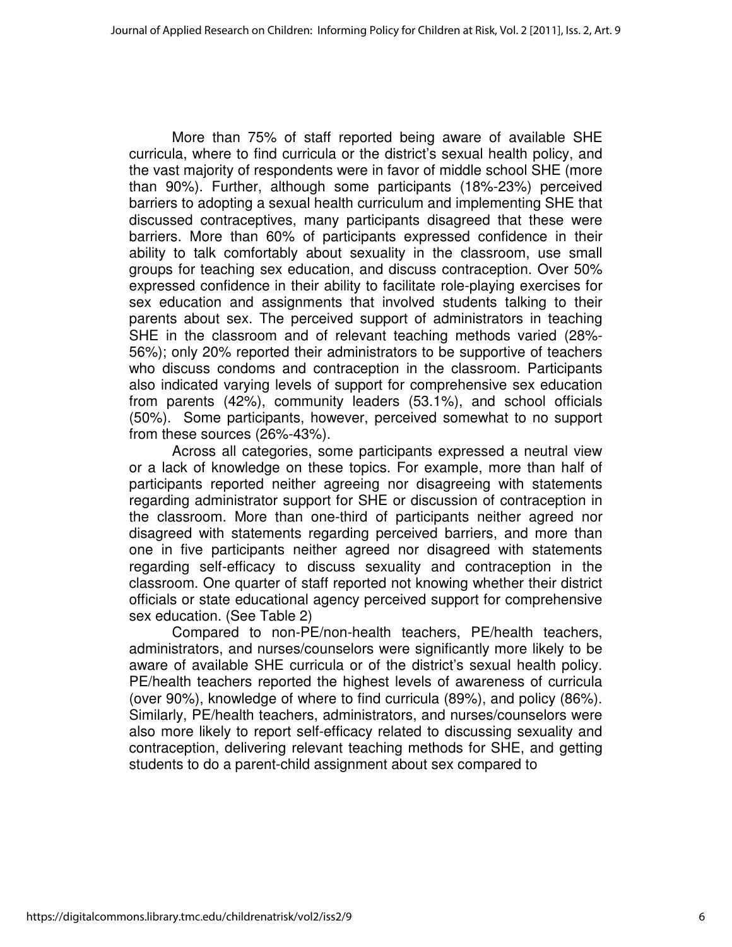More than 75% of staff reported being aware of available SHE curricula, where to find curricula or the district's sexual health policy, and the vast majority of respondents were in favor of middle school SHE (more than 90%). Further, although some participants (18%-23%) perceived barriers to adopting a sexual health curriculum and implementing SHE that discussed contraceptives, many participants disagreed that these were barriers. More than 60% of participants expressed confidence in their ability to talk comfortably about sexuality in the classroom, use small groups for teaching sex education, and discuss contraception. Over 50% expressed confidence in their ability to facilitate role-playing exercises for sex education and assignments that involved students talking to their parents about sex. The perceived support of administrators in teaching SHE in the classroom and of relevant teaching methods varied (28%- 56%); only 20% reported their administrators to be supportive of teachers who discuss condoms and contraception in the classroom. Participants also indicated varying levels of support for comprehensive sex education from parents (42%), community leaders (53.1%), and school officials (50%). Some participants, however, perceived somewhat to no support from these sources (26%-43%).

Across all categories, some participants expressed a neutral view or a lack of knowledge on these topics. For example, more than half of participants reported neither agreeing nor disagreeing with statements regarding administrator support for SHE or discussion of contraception in the classroom. More than one-third of participants neither agreed nor disagreed with statements regarding perceived barriers, and more than one in five participants neither agreed nor disagreed with statements regarding self-efficacy to discuss sexuality and contraception in the classroom. One quarter of staff reported not knowing whether their district officials or state educational agency perceived support for comprehensive sex education. (See Table 2)

Compared to non-PE/non-health teachers, PE/health teachers, administrators, and nurses/counselors were significantly more likely to be aware of available SHE curricula or of the district's sexual health policy. PE/health teachers reported the highest levels of awareness of curricula (over 90%), knowledge of where to find curricula (89%), and policy (86%). Similarly, PE/health teachers, administrators, and nurses/counselors were also more likely to report self-efficacy related to discussing sexuality and contraception, delivering relevant teaching methods for SHE, and getting students to do a parent-child assignment about sex compared to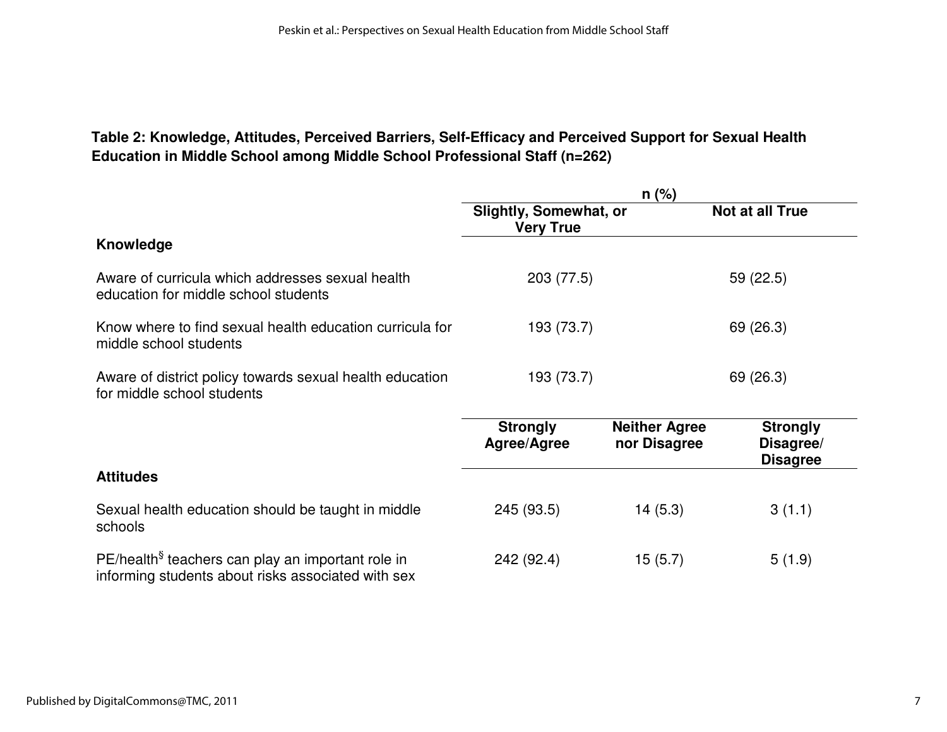# **Table 2: Knowledge, Attitudes, Perceived Barriers, Self-Efficacy and Perceived Support for Sexual Health Education in Middle School among Middle School Professional Staff (n=262)**

|                                                                                                                     | $n$ (%)                                           |                                      |                                                 |  |  |  |
|---------------------------------------------------------------------------------------------------------------------|---------------------------------------------------|--------------------------------------|-------------------------------------------------|--|--|--|
|                                                                                                                     | <b>Slightly, Somewhat, or</b><br><b>Very True</b> | Not at all True                      |                                                 |  |  |  |
| Knowledge                                                                                                           |                                                   |                                      |                                                 |  |  |  |
| Aware of curricula which addresses sexual health<br>education for middle school students                            | 203 (77.5)                                        |                                      | 59 (22.5)                                       |  |  |  |
| Know where to find sexual health education curricula for<br>middle school students                                  | 193 (73.7)                                        |                                      | 69 (26.3)                                       |  |  |  |
| Aware of district policy towards sexual health education<br>for middle school students                              | 193 (73.7)                                        |                                      | 69 (26.3)                                       |  |  |  |
|                                                                                                                     | <b>Strongly</b><br>Agree/Agree                    | <b>Neither Agree</b><br>nor Disagree | <b>Strongly</b><br>Disagree/<br><b>Disagree</b> |  |  |  |
| <b>Attitudes</b>                                                                                                    |                                                   |                                      |                                                 |  |  |  |
| Sexual health education should be taught in middle<br>schools                                                       | 245 (93.5)                                        | 14(5.3)                              | 3(1.1)                                          |  |  |  |
| PE/health <sup>§</sup> teachers can play an important role in<br>informing students about risks associated with sex | 242 (92.4)                                        | 15(5.7)                              | 5(1.9)                                          |  |  |  |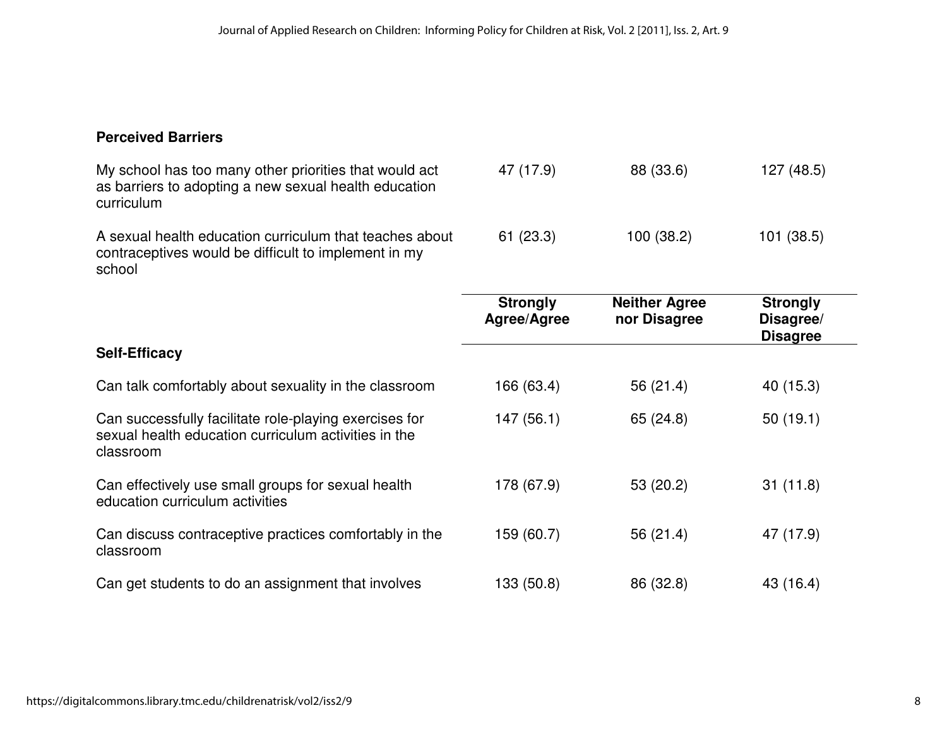# **Perceived Barriers**

| My school has too many other priorities that would act<br>as barriers to adopting a new sexual health education<br>curriculum | 47 (17.9)                      | 88 (33.6)                            | 127 (48.5)                                      |  |
|-------------------------------------------------------------------------------------------------------------------------------|--------------------------------|--------------------------------------|-------------------------------------------------|--|
| A sexual health education curriculum that teaches about<br>contraceptives would be difficult to implement in my<br>school     | 61(23.3)                       | 100 (38.2)                           | 101(38.5)                                       |  |
|                                                                                                                               | <b>Strongly</b><br>Agree/Agree | <b>Neither Agree</b><br>nor Disagree | <b>Strongly</b><br>Disagree/<br><b>Disagree</b> |  |
| <b>Self-Efficacy</b>                                                                                                          |                                |                                      |                                                 |  |
| Can talk comfortably about sexuality in the classroom                                                                         | 166 (63.4)                     | 56 (21.4)                            | 40 (15.3)                                       |  |
| Can successfully facilitate role-playing exercises for<br>sexual health education curriculum activities in the<br>classroom   | 147(56.1)                      | 65 (24.8)                            | 50(19.1)                                        |  |
| Can effectively use small groups for sexual health<br>education curriculum activities                                         | 178 (67.9)                     | 53 (20.2)                            | 31(11.8)                                        |  |
| Can discuss contraceptive practices comfortably in the<br>classroom                                                           | 159 (60.7)                     | 56 (21.4)                            | 47 (17.9)                                       |  |
| Can get students to do an assignment that involves                                                                            | 133 (50.8)                     | 86 (32.8)                            | 43 (16.4)                                       |  |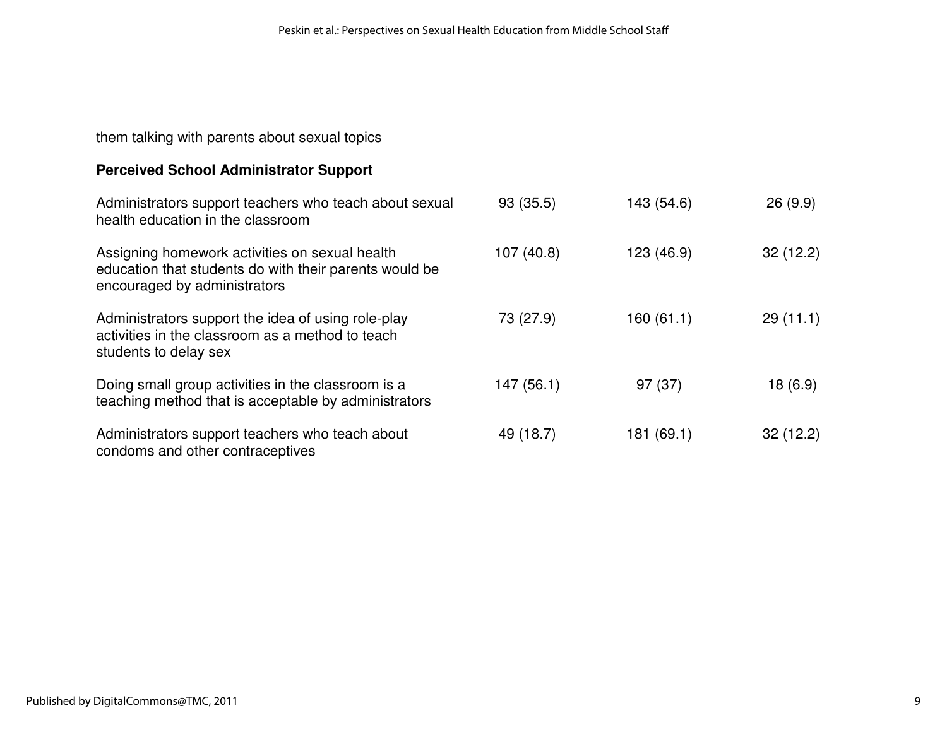them talking with parents about sexual topics

# **Perceived School Administrator Support**

| Administrators support teachers who teach about sexual<br>health education in the classroom                                              | 93 (35.5)  | 143 (54.6) | 26(9.9)  |
|------------------------------------------------------------------------------------------------------------------------------------------|------------|------------|----------|
| Assigning homework activities on sexual health<br>education that students do with their parents would be<br>encouraged by administrators | 107(40.8)  | 123 (46.9) | 32(12.2) |
| Administrators support the idea of using role-play<br>activities in the classroom as a method to teach<br>students to delay sex          | 73 (27.9)  | 160 (61.1) | 29(11.1) |
| Doing small group activities in the classroom is a<br>teaching method that is acceptable by administrators                               | 147 (56.1) | 97(37)     | 18(6.9)  |
| Administrators support teachers who teach about<br>condoms and other contraceptives                                                      | 49 (18.7)  | 181 (69.1) | 32(12.2) |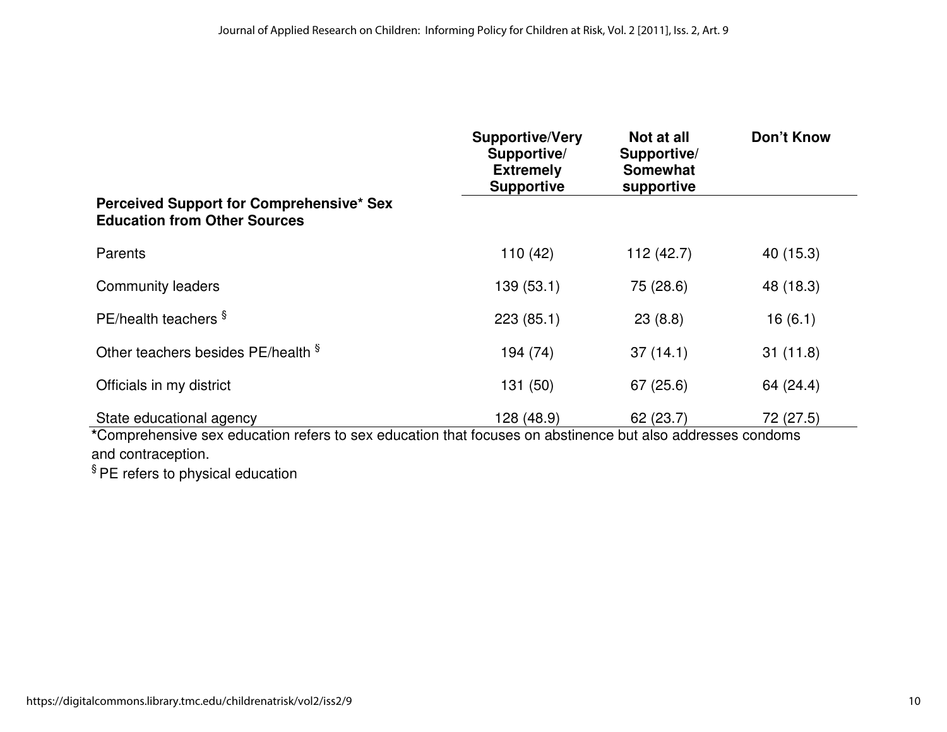|                                                                                                            | <b>Supportive/Very</b><br>Supportive/<br><b>Extremely</b><br><b>Supportive</b> | Not at all<br>Supportive/<br><b>Somewhat</b><br>supportive | <b>Don't Know</b> |
|------------------------------------------------------------------------------------------------------------|--------------------------------------------------------------------------------|------------------------------------------------------------|-------------------|
| Perceived Support for Comprehensive* Sex<br><b>Education from Other Sources</b>                            |                                                                                |                                                            |                   |
| Parents                                                                                                    | 110(42)                                                                        | 112(42.7)                                                  | 40 (15.3)         |
| <b>Community leaders</b>                                                                                   | 139(53.1)                                                                      | 75 (28.6)                                                  | 48 (18.3)         |
| PE/health teachers §                                                                                       | 223(85.1)                                                                      | 23(8.8)                                                    | 16(6.1)           |
| Other teachers besides PE/health §                                                                         | 194 (74)                                                                       | 37(14.1)                                                   | 31(11.8)          |
| Officials in my district                                                                                   | 131 (50)                                                                       | 67(25.6)                                                   | 64 (24.4)         |
| State educational agency                                                                                   | 128 (48.9)                                                                     | 62(23.7)                                                   | 72 (27.5)         |
| *Comprehensive sex education refers to sex education that focuses on abstinence but also addresses condoms |                                                                                |                                                            |                   |

and contraception.<br><sup>§</sup> PE refers to physical education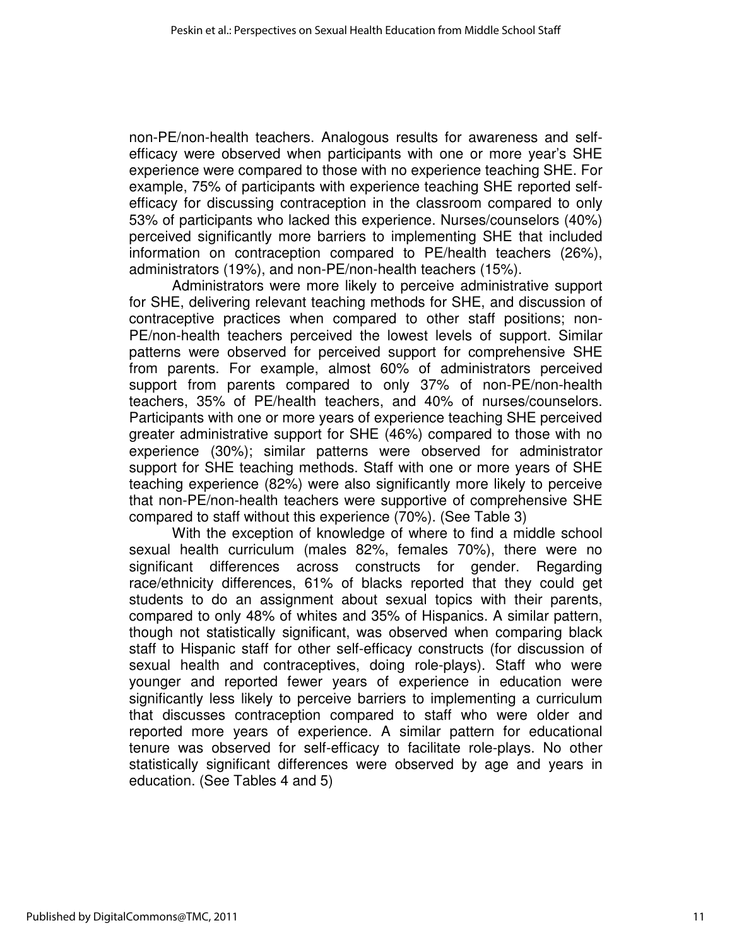non-PE/non-health teachers. Analogous results for awareness and selfefficacy were observed when participants with one or more year's SHE experience were compared to those with no experience teaching SHE. For example, 75% of participants with experience teaching SHE reported selfefficacy for discussing contraception in the classroom compared to only 53% of participants who lacked this experience. Nurses/counselors (40%) perceived significantly more barriers to implementing SHE that included information on contraception compared to PE/health teachers (26%), administrators (19%), and non-PE/non-health teachers (15%).

Administrators were more likely to perceive administrative support for SHE, delivering relevant teaching methods for SHE, and discussion of contraceptive practices when compared to other staff positions; non-PE/non-health teachers perceived the lowest levels of support. Similar patterns were observed for perceived support for comprehensive SHE from parents. For example, almost 60% of administrators perceived support from parents compared to only 37% of non-PE/non-health teachers, 35% of PE/health teachers, and 40% of nurses/counselors. Participants with one or more years of experience teaching SHE perceived greater administrative support for SHE (46%) compared to those with no experience (30%); similar patterns were observed for administrator support for SHE teaching methods. Staff with one or more years of SHE teaching experience (82%) were also significantly more likely to perceive that non-PE/non-health teachers were supportive of comprehensive SHE compared to staff without this experience (70%). (See Table 3)

With the exception of knowledge of where to find a middle school sexual health curriculum (males 82%, females 70%), there were no significant differences across constructs for gender. Regarding race/ethnicity differences, 61% of blacks reported that they could get students to do an assignment about sexual topics with their parents, compared to only 48% of whites and 35% of Hispanics. A similar pattern, though not statistically significant, was observed when comparing black staff to Hispanic staff for other self-efficacy constructs (for discussion of sexual health and contraceptives, doing role-plays). Staff who were younger and reported fewer years of experience in education were significantly less likely to perceive barriers to implementing a curriculum that discusses contraception compared to staff who were older and reported more years of experience. A similar pattern for educational tenure was observed for self-efficacy to facilitate role-plays. No other statistically significant differences were observed by age and years in education. (See Tables 4 and 5)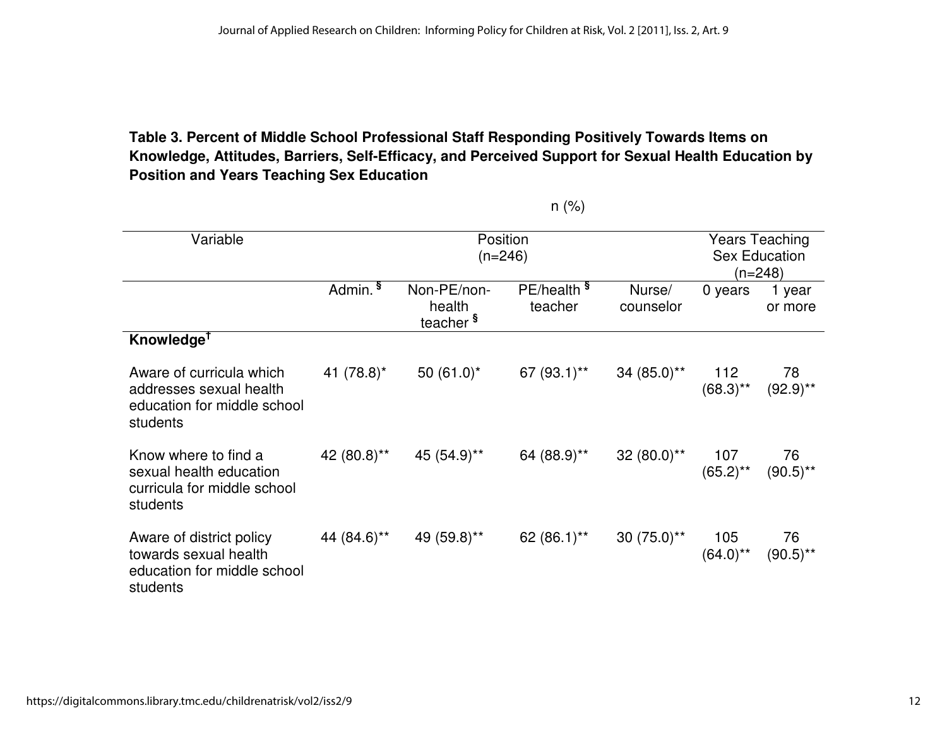# **Table 3. Percent of Middle School Professional Staff Responding Positively Towards Items on Knowledge, Attitudes, Barriers, Self-Efficacy, and Perceived Support for Sexual Health Education by Position and Years Teaching Sex Education**

| Variable                                                                                       |                     | Position<br>$(n=246)$                         |                                   | Years Teaching<br><b>Sex Education</b><br>$(n=248)$ |                    |                   |
|------------------------------------------------------------------------------------------------|---------------------|-----------------------------------------------|-----------------------------------|-----------------------------------------------------|--------------------|-------------------|
|                                                                                                | Admin. <sup>§</sup> | Non-PE/non-<br>health<br>teacher <sup>§</sup> | PE/health <sup>§</sup><br>teacher | Nurse/<br>counselor                                 | 0 years            | 1 year<br>or more |
| Knowledge <sup>†</sup>                                                                         |                     |                                               |                                   |                                                     |                    |                   |
| Aware of curricula which<br>addresses sexual health<br>education for middle school<br>students | 41 $(78.8)^*$       | 50 $(61.0)^*$                                 | 67 $(93.1)$ **                    | $34(85.0)$ **                                       | 112<br>$(68.3)$ ** | 78<br>$(92.9)$ ** |
| Know where to find a<br>sexual health education<br>curricula for middle school<br>students     | 42 (80.8)**         | 45 (54.9)**                                   | 64 (88.9)**                       | 32 $(80.0)$ **                                      | 107<br>$(65.2)$ ** | 76<br>$(90.5)$ ** |
| Aware of district policy<br>towards sexual health<br>education for middle school<br>students   | 44 (84.6)**         | 49 (59.8)**                                   | 62 (86.1)**                       | $30(75.0)$ **                                       | 105<br>$(64.0)$ ** | 76<br>$(90.5)$ ** |

n (%)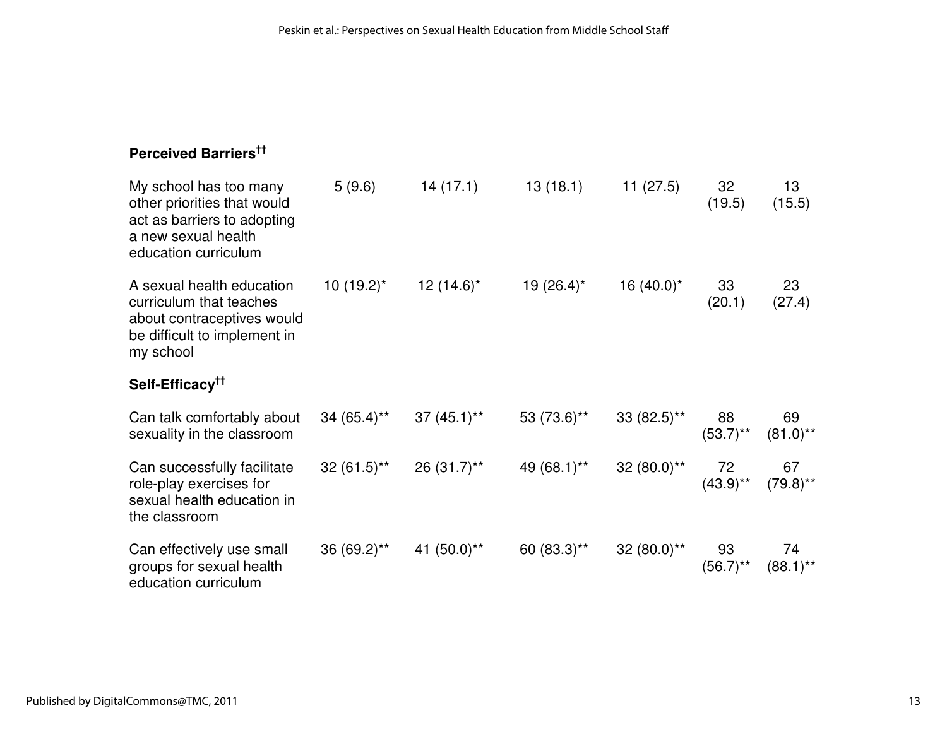# **Perceived Barriers††**

| My school has too many<br>other priorities that would<br>act as barriers to adopting<br>a new sexual health<br>education curriculum | 5(9.6)                                              | 14(17.1)      | 13 (18.1)                                                                                                 | 11(27.5)           | 32<br>(19.5)                  | 13<br>(15.5)                                        |
|-------------------------------------------------------------------------------------------------------------------------------------|-----------------------------------------------------|---------------|-----------------------------------------------------------------------------------------------------------|--------------------|-------------------------------|-----------------------------------------------------|
| A sexual health education<br>curriculum that teaches<br>about contraceptives would<br>be difficult to implement in<br>my school     | $10(19.2)^{*}$                                      | 12 $(14.6)^*$ | $19(26.4)^*$                                                                                              | 16 $(40.0)^*$      | 33<br>(20.1)                  | 23<br>(27.4)                                        |
| Self-Efficacy <sup>tt</sup>                                                                                                         |                                                     |               |                                                                                                           |                    |                               |                                                     |
| Can talk comfortably about<br>sexuality in the classroom                                                                            | $34 (65.4)$ <sup>**</sup> 37 $(45.1)$ <sup>**</sup> |               | 53 $(73.6)$ **                                                                                            | $33(82.5)$ **      | 88<br>$(53.7)$ ** $(81.0)$ ** | 69                                                  |
| Can successfully facilitate<br>role-play exercises for<br>sexual health education in<br>the classroom                               |                                                     |               | $32(61.5)$ <sup>**</sup> 26 $(31.7)$ <sup>**</sup> 49 $(68.1)$ <sup>**</sup> 32 $(80.0)$ <sup>**</sup> 72 |                    | $(43.9)$ ** $(79.8)$ **       | 67                                                  |
| Can effectively use small<br>groups for sexual health<br>education curriculum                                                       | $36 (69.2)^{**}$ 41 $(50.0)^{**}$                   |               | 60 $(83.3)$ **                                                                                            | $32(80.0)^{**}$ 93 |                               | 74<br>$(56.7)$ <sup>**</sup> $(88.1)$ <sup>**</sup> |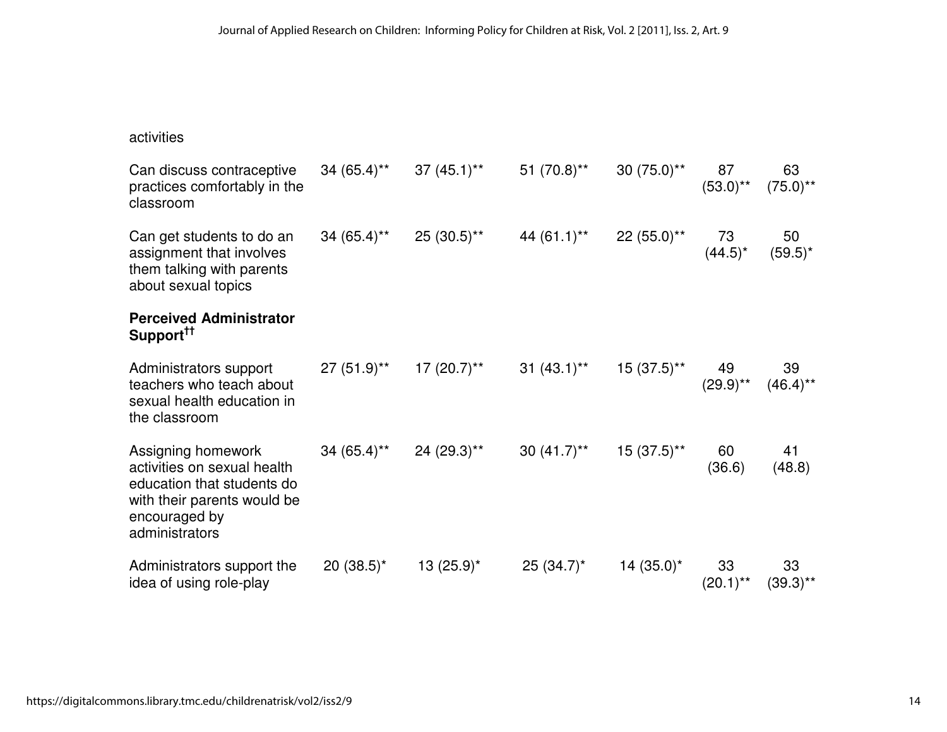| activities                                                                                                                                        |                                          |                                                                                                         |                              |               |                   |                   |
|---------------------------------------------------------------------------------------------------------------------------------------------------|------------------------------------------|---------------------------------------------------------------------------------------------------------|------------------------------|---------------|-------------------|-------------------|
| Can discuss contraceptive<br>practices comfortably in the<br>classroom                                                                            |                                          | $34 (65.4)$ <sup>**</sup> $37 (45.1)$ <sup>**</sup> $51 (70.8)$ <sup>**</sup> $30 (75.0)$ <sup>**</sup> |                              |               | 87<br>$(53.0)$ ** | 63<br>$(75.0)$ ** |
| Can get students to do an<br>assignment that involves<br>them talking with parents<br>about sexual topics                                         | $34 (65.4)^{**}$ 25 $(30.5)^{**}$        |                                                                                                         | 44 (61.1)** 22 (55.0)**      |               | 73<br>$(44.5)^*$  | 50<br>$(59.5)^*$  |
| <b>Perceived Administrator</b><br>Support <sup>††</sup>                                                                                           |                                          |                                                                                                         |                              |               |                   |                   |
| Administrators support<br>teachers who teach about<br>sexual health education in<br>the classroom                                                 |                                          | 27 (51.9)** 17 (20.7)** 31 (43.1)** 15 (37.5)** 49 39<br>(29.9)** (46.4)**                              |                              |               |                   |                   |
| Assigning homework<br>activities on sexual health<br>education that students do<br>with their parents would be<br>encouraged by<br>administrators | $34 (65.4)^{**}$ 24 (29.3) <sup>**</sup> |                                                                                                         | $30(41.7)$ ** 15 $(37.5)$ ** |               | 60<br>(36.6)      | 41<br>(48.8)      |
| Administrators support the<br>idea of using role-play                                                                                             | $20(38.5)^*$                             | $13(25.9)^{*}$                                                                                          | $25(34.7)^*$                 | 14 $(35.0)^*$ | 33<br>$(20.1)$ ** | 33<br>$(39.3)$ ** |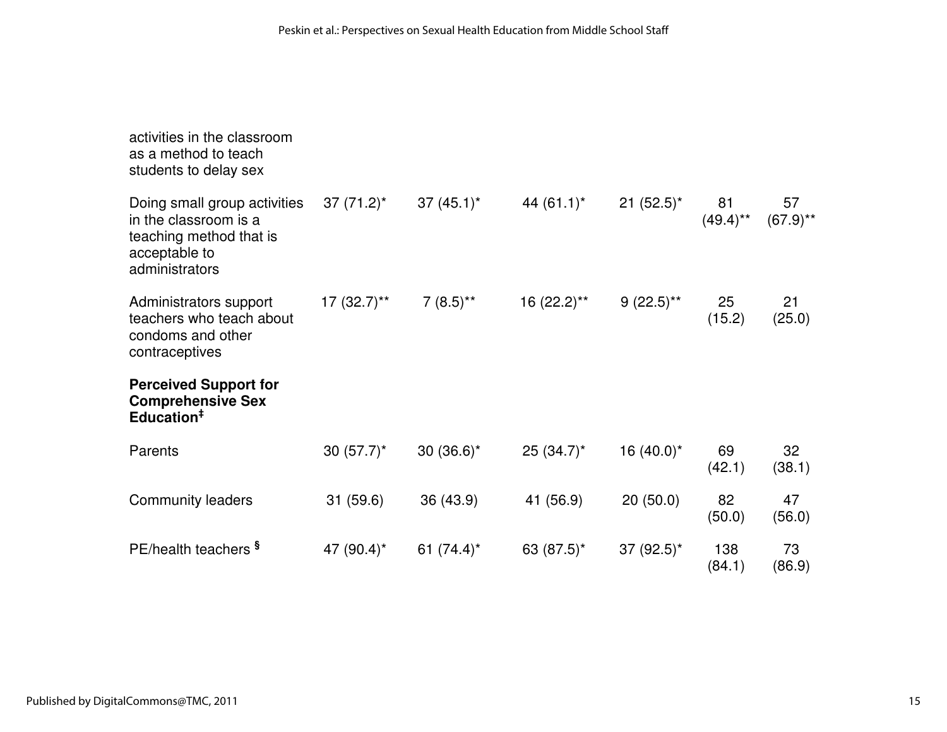| activities in the classroom<br>as a method to teach<br>students to delay sex                                        |               |               |               |                         |                   |                   |
|---------------------------------------------------------------------------------------------------------------------|---------------|---------------|---------------|-------------------------|-------------------|-------------------|
| Doing small group activities<br>in the classroom is a<br>teaching method that is<br>acceptable to<br>administrators | $37(71.2)^*$  | $37(45.1)^*$  | 44 $(61.1)^*$ | $21 (52.5)^*$           | 81<br>$(49.4)$ ** | 57<br>$(67.9)$ ** |
| Administrators support<br>teachers who teach about<br>condoms and other<br>contraceptives                           | $17(32.7)$ ** | $7(8.5)$ **   | $16(22.2)$ ** | $9(22.5)$ <sup>**</sup> | 25<br>(15.2)      | 21<br>(25.0)      |
| <b>Perceived Support for</b><br><b>Comprehensive Sex</b><br>Education <sup>#</sup>                                  |               |               |               |                         |                   |                   |
| Parents                                                                                                             | $30(57.7)^*$  | 30 $(36.6)^*$ | $25(34.7)^*$  | 16 $(40.0)^*$           | 69<br>(42.1)      | 32<br>(38.1)      |
| <b>Community leaders</b>                                                                                            | 31 (59.6)     | 36 (43.9)     | 41 (56.9)     | 20(50.0)                | 82<br>(50.0)      | 47<br>(56.0)      |
| PE/health teachers <sup>§</sup>                                                                                     | 47 $(90.4)^*$ | 61 $(74.4)^*$ | 63 $(87.5)^*$ | 37 $(92.5)^*$           | 138<br>(84.1)     | 73<br>(86.9)      |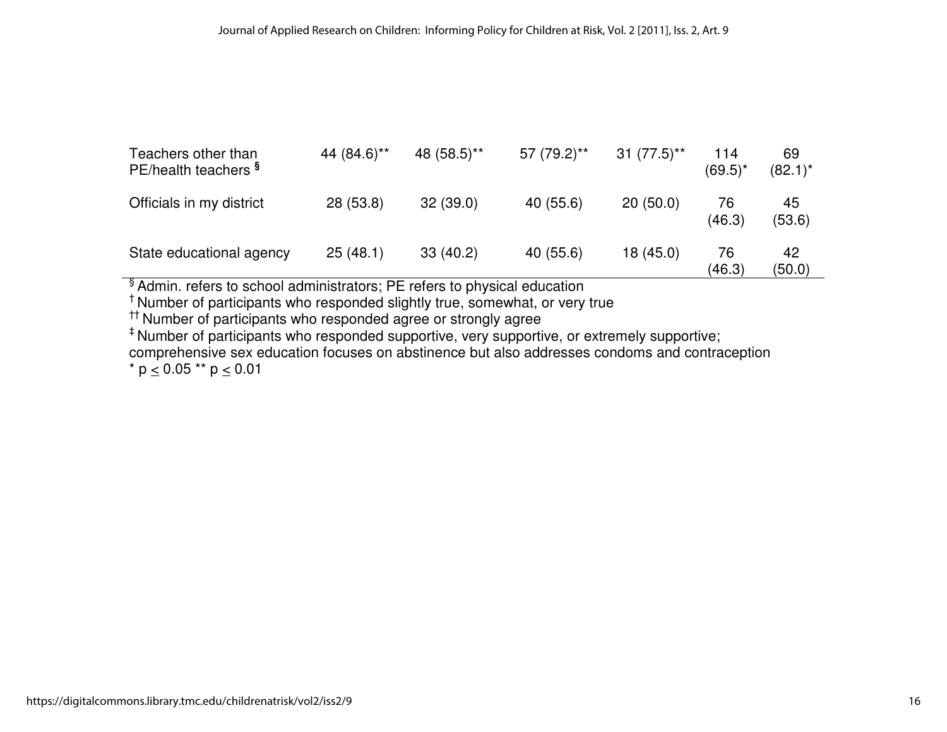| Teachers other than<br>PE/health teachers <sup>§</sup> | 44 (84.6)** | 48 (58.5)** | 57 (79.2)** | $31 (77.5)$ ** | 114<br>$(69.5)^*$ | 69<br>$(82.1)^*$ |
|--------------------------------------------------------|-------------|-------------|-------------|----------------|-------------------|------------------|
| Officials in my district                               | 28 (53.8)   | 32(39.0)    | 40 (55.6)   | 20(50.0)       | 76<br>(46.3)      | 45<br>(53.6)     |
| State educational agency                               | 25(48.1)    | 33(40.2)    | 40 (55.6)   | 18 (45.0)      | 76<br>(46.3)      | 42<br>(50.0)     |

<sup>§</sup> Admin. refers to school administrators; PE refers to physical education<br><sup>†</sup> Number of participants who responded slightly true, somewhat, or very true<br><sup>††</sup> Number of participants who responded agree or strongly agree

\*Number of participants who responded supportive, very supportive, or extremely supportive;

comprehensive sex education focuses on abstinence but also addresses condoms and contraception

\*  $p \le 0.05$  \*\*  $p \le 0.01$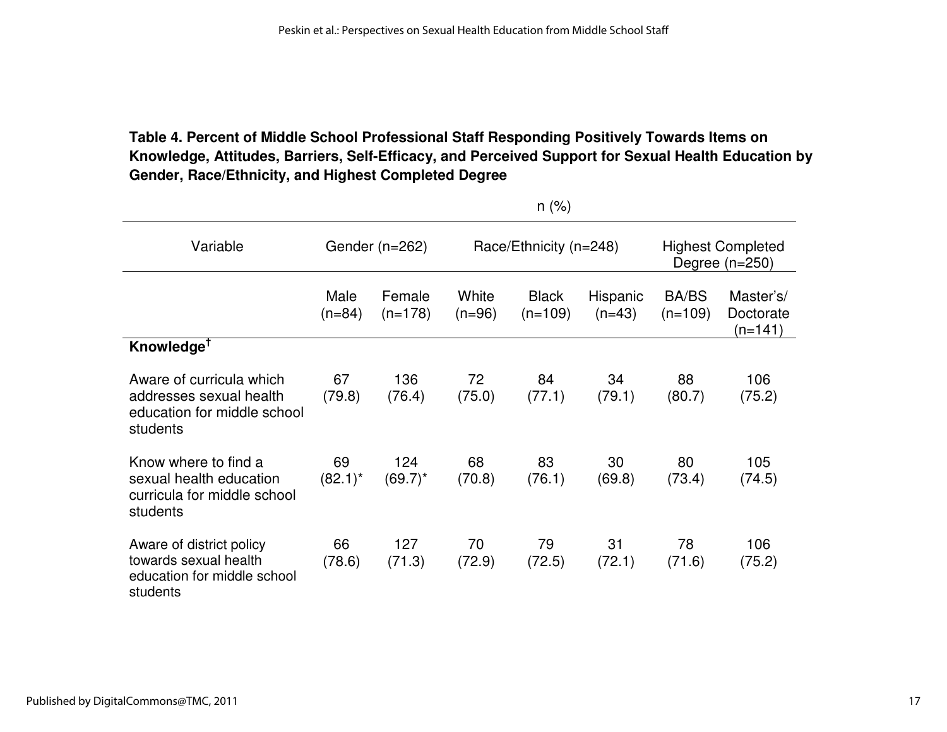# **Table 4. Percent of Middle School Professional Staff Responding Positively Towards Items on Knowledge, Attitudes, Barriers, Self-Efficacy, and Perceived Support for Sexual Health Education by Gender, Race/Ethnicity, and Highest Completed Degree**

|                                                                                                | 11(70)           |                     |                        |                           |                      |                                              |                                   |  |
|------------------------------------------------------------------------------------------------|------------------|---------------------|------------------------|---------------------------|----------------------|----------------------------------------------|-----------------------------------|--|
| Variable                                                                                       | Gender (n=262)   |                     | Race/Ethnicity (n=248) |                           |                      | <b>Highest Completed</b><br>Degree $(n=250)$ |                                   |  |
|                                                                                                | Male<br>$(n=84)$ | Female<br>$(n=178)$ | White<br>$(n=96)$      | <b>Black</b><br>$(n=109)$ | Hispanic<br>$(n=43)$ | <b>BA/BS</b><br>$(n=109)$                    | Master's/<br>Doctorate<br>(n=141) |  |
| Knowledge <sup>†</sup>                                                                         |                  |                     |                        |                           |                      |                                              |                                   |  |
| Aware of curricula which<br>addresses sexual health<br>education for middle school<br>students | 67<br>(79.8)     | 136<br>(76.4)       | 72<br>(75.0)           | 84<br>(77.1)              | 34<br>(79.1)         | 88<br>(80.7)                                 | 106<br>(75.2)                     |  |
| Know where to find a<br>sexual health education<br>curricula for middle school<br>students     | 69<br>$(82.1)^*$ | 124<br>$(69.7)^*$   | 68<br>(70.8)           | 83<br>(76.1)              | 30<br>(69.8)         | 80<br>(73.4)                                 | 105<br>(74.5)                     |  |
| Aware of district policy<br>towards sexual health<br>education for middle school<br>students   | 66<br>(78.6)     | 127<br>(71.3)       | 70<br>(72.9)           | 79<br>(72.5)              | 31<br>(72.1)         | 78<br>(71.6)                                 | 106<br>(75.2)                     |  |

 $n$  (%)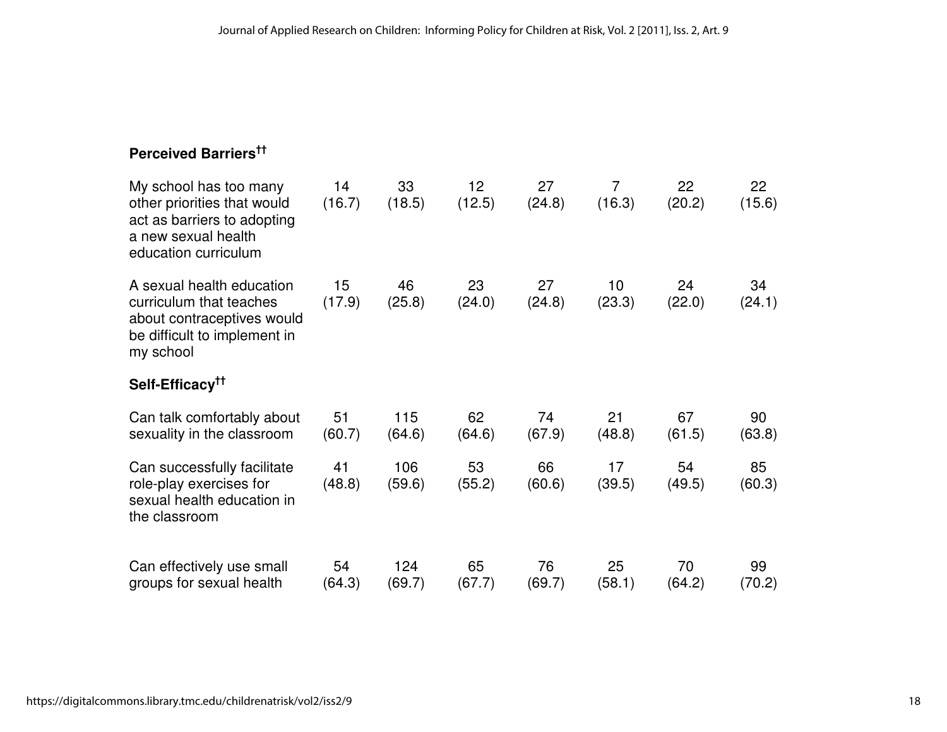# **Perceived Barriers††**

| My school has too many<br>other priorities that would<br>act as barriers to adopting<br>a new sexual health<br>education curriculum | 14<br>(16.7) | 33<br>(18.5)  | 12<br>(12.5) | 27<br>(24.8) | $\overline{7}$<br>(16.3)  | 22<br>(20.2) | 22<br>(15.6) |
|-------------------------------------------------------------------------------------------------------------------------------------|--------------|---------------|--------------|--------------|---------------------------|--------------|--------------|
| A sexual health education<br>curriculum that teaches<br>about contraceptives would<br>be difficult to implement in<br>my school     | 15<br>(17.9) | 46<br>(25.8)  | 23<br>(24.0) | 27<br>(24.8) | 10 <sup>°</sup><br>(23.3) | 24<br>(22.0) | 34<br>(24.1) |
| Self-Efficacy <sup>††</sup>                                                                                                         |              |               |              |              |                           |              |              |
| Can talk comfortably about<br>sexuality in the classroom                                                                            | 51<br>(60.7) | 115<br>(64.6) | 62<br>(64.6) | 74<br>(67.9) | 21<br>(48.8)              | 67<br>(61.5) | 90<br>(63.8) |
| Can successfully facilitate<br>role-play exercises for<br>sexual health education in<br>the classroom                               | 41<br>(48.8) | 106<br>(59.6) | 53<br>(55.2) | 66<br>(60.6) | 17<br>(39.5)              | 54<br>(49.5) | 85<br>(60.3) |
| Can effectively use small<br>groups for sexual health                                                                               | 54<br>(64.3) | 124<br>(69.7) | 65<br>(67.7) | 76<br>(69.7) | 25<br>(58.1)              | 70<br>(64.2) | 99<br>(70.2) |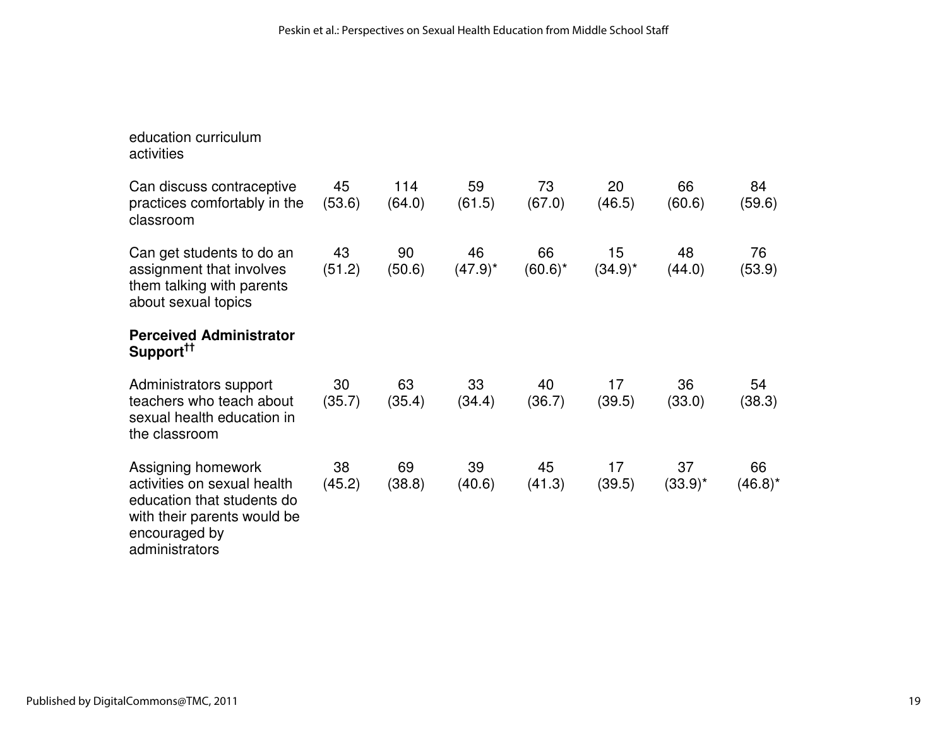| education curriculum<br>activities                                                                                                                |              |               |                  |                  |                  |                  |                  |
|---------------------------------------------------------------------------------------------------------------------------------------------------|--------------|---------------|------------------|------------------|------------------|------------------|------------------|
| Can discuss contraceptive<br>practices comfortably in the<br>classroom                                                                            | 45<br>(53.6) | 114<br>(64.0) | 59<br>(61.5)     | 73<br>(67.0)     | 20<br>(46.5)     | 66<br>(60.6)     | 84<br>(59.6)     |
| Can get students to do an<br>assignment that involves<br>them talking with parents<br>about sexual topics                                         | 43<br>(51.2) | 90<br>(50.6)  | 46<br>$(47.9)^*$ | 66<br>$(60.6)^*$ | 15<br>$(34.9)^*$ | 48<br>(44.0)     | 76<br>(53.9)     |
| <b>Perceived Administrator</b><br>Support <sup>11</sup>                                                                                           |              |               |                  |                  |                  |                  |                  |
| Administrators support<br>teachers who teach about<br>sexual health education in<br>the classroom                                                 | 30<br>(35.7) | 63<br>(35.4)  | 33<br>(34.4)     | 40<br>(36.7)     | 17<br>(39.5)     | 36<br>(33.0)     | 54<br>(38.3)     |
| Assigning homework<br>activities on sexual health<br>education that students do<br>with their parents would be<br>encouraged by<br>administrators | 38<br>(45.2) | 69<br>(38.8)  | 39<br>(40.6)     | 45<br>(41.3)     | 17<br>(39.5)     | 37<br>$(33.9)^*$ | 66<br>$(46.8)^*$ |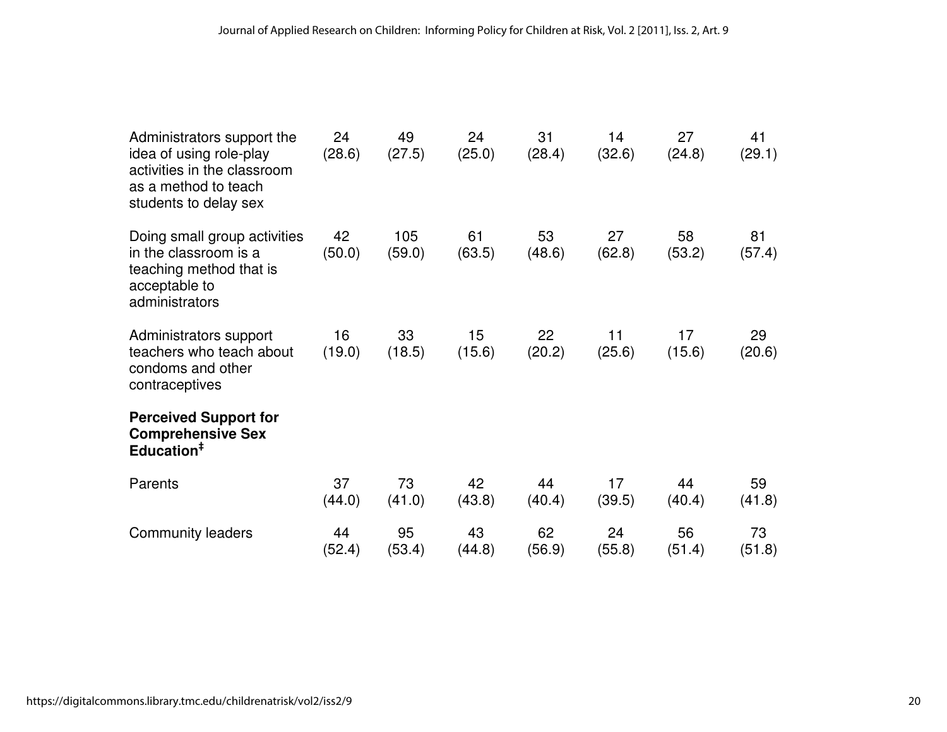| Administrators support the<br>idea of using role-play<br>activities in the classroom<br>as a method to teach<br>students to delay sex | 24<br>(28.6) | 49<br>(27.5)  | 24<br>(25.0) | 31<br>(28.4) | 14<br>(32.6) | 27<br>(24.8) | 41<br>(29.1) |
|---------------------------------------------------------------------------------------------------------------------------------------|--------------|---------------|--------------|--------------|--------------|--------------|--------------|
| Doing small group activities<br>in the classroom is a<br>teaching method that is<br>acceptable to<br>administrators                   | 42<br>(50.0) | 105<br>(59.0) | 61<br>(63.5) | 53<br>(48.6) | 27<br>(62.8) | 58<br>(53.2) | 81<br>(57.4) |
| Administrators support<br>teachers who teach about<br>condoms and other<br>contraceptives                                             | 16<br>(19.0) | 33<br>(18.5)  | 15<br>(15.6) | 22<br>(20.2) | 11<br>(25.6) | 17<br>(15.6) | 29<br>(20.6) |
| <b>Perceived Support for</b><br><b>Comprehensive Sex</b><br>Education <sup>#</sup>                                                    |              |               |              |              |              |              |              |
| Parents                                                                                                                               | 37<br>(44.0) | 73<br>(41.0)  | 42<br>(43.8) | 44<br>(40.4) | 17<br>(39.5) | 44<br>(40.4) | 59<br>(41.8) |
| <b>Community leaders</b>                                                                                                              | 44<br>(52.4) | 95<br>(53.4)  | 43<br>(44.8) | 62<br>(56.9) | 24<br>(55.8) | 56<br>(51.4) | 73<br>(51.8) |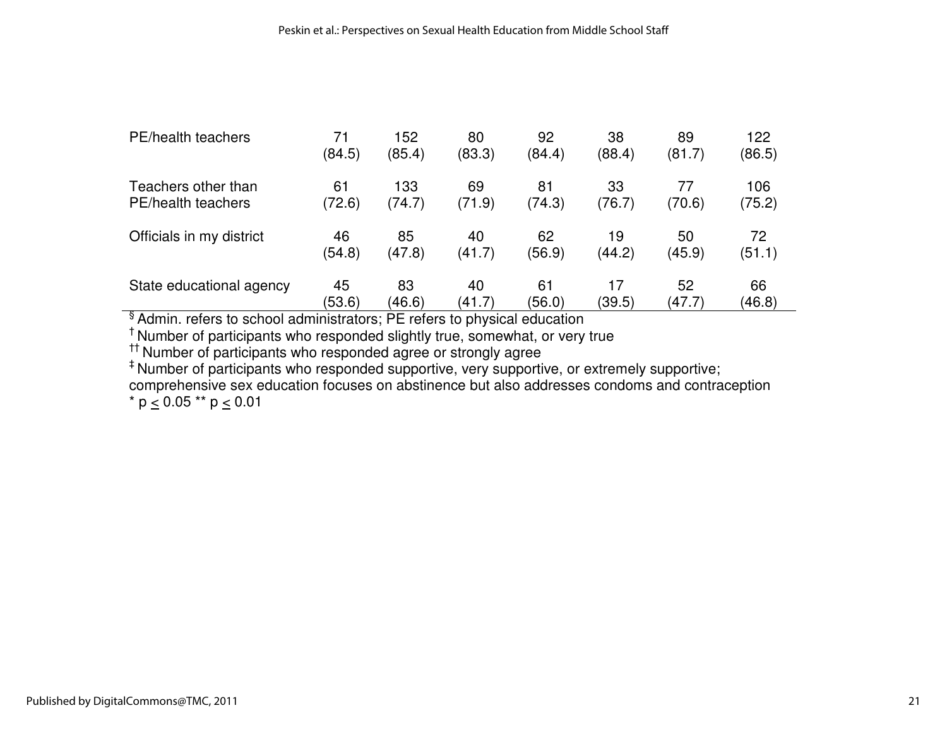| PE/health teachers       | 71     | 152    | 80     | 92     | 38     | 89     | 122    |
|--------------------------|--------|--------|--------|--------|--------|--------|--------|
|                          | (84.5) | (85.4) | (83.3) | (84.4) | (88.4) | (81.7) | (86.5) |
| Teachers other than      | 61     | 133    | 69     | 81     | 33     | 77     | 106    |
| PE/health teachers       | (72.6) | (74.7) | (71.9) | (74.3) | (76.7) | (70.6) | (75.2) |
| Officials in my district | 46     | 85     | 40     | 62     | 19     | 50     | 72     |
|                          | (54.8) | (47.8) | (41.7) | (56.9) | (44.2) | (45.9) | (51.1) |
| State educational agency | 45     | 83     | 40     | 61     | 17     | 52     | 66     |
|                          | (53.6) | (46.6) | (41.7) | (56.0) | (39.5) | (47.7) | (46.8) |

 $(53.6)$   $(46.6)$   $(41.7)$   $(56.0)$   $(39.5)$   $(47.7)$ <br>  $\overline{\phantom{a}}$  Admin. refers to school administrators; PE refers to physical education<br>
<sup>†</sup> Number of participants who responded agree or strongly agree<br>
<sup>‡</sup> Number of p

comprehensive sex education focuses on abstinence but also addresses condoms and contraception \*  $p \le 0.05$  \*\*  $p \le 0.01$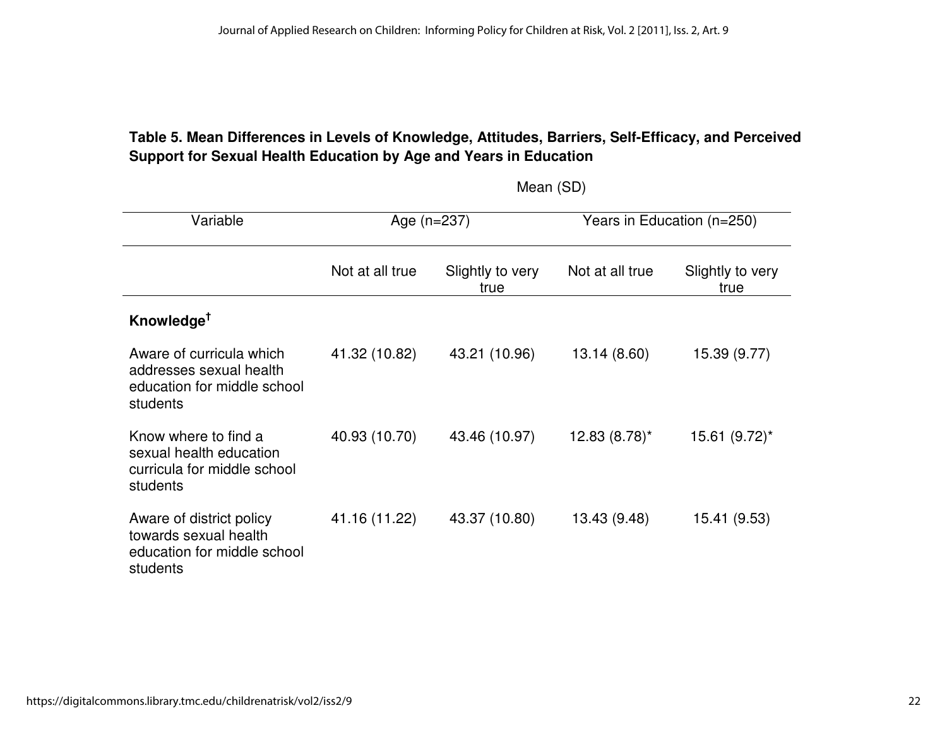# **Table 5. Mean Differences in Levels of Knowledge, Attitudes, Barriers, Self-Efficacy, and Perceived Support for Sexual Health Education by Age and Years in Education**

| Variable                                                                                       | Age $(n=237)$                               |               | Years in Education (n=250) |                          |  |
|------------------------------------------------------------------------------------------------|---------------------------------------------|---------------|----------------------------|--------------------------|--|
|                                                                                                | Not at all true<br>Slightly to very<br>true |               | Not at all true            | Slightly to very<br>true |  |
| Knowledge <sup>†</sup>                                                                         |                                             |               |                            |                          |  |
| Aware of curricula which<br>addresses sexual health<br>education for middle school<br>students | 41.32 (10.82)                               | 43.21 (10.96) | 13.14 (8.60)               | 15.39 (9.77)             |  |
| Know where to find a<br>sexual health education<br>curricula for middle school<br>students     | 40.93 (10.70)                               | 43.46 (10.97) | 12.83 (8.78)*              | 15.61 (9.72)*            |  |
| Aware of district policy<br>towards sexual health<br>education for middle school<br>students   | 41.16 (11.22)                               | 43.37 (10.80) | 13.43 (9.48)               | 15.41 (9.53)             |  |

Mean (SD)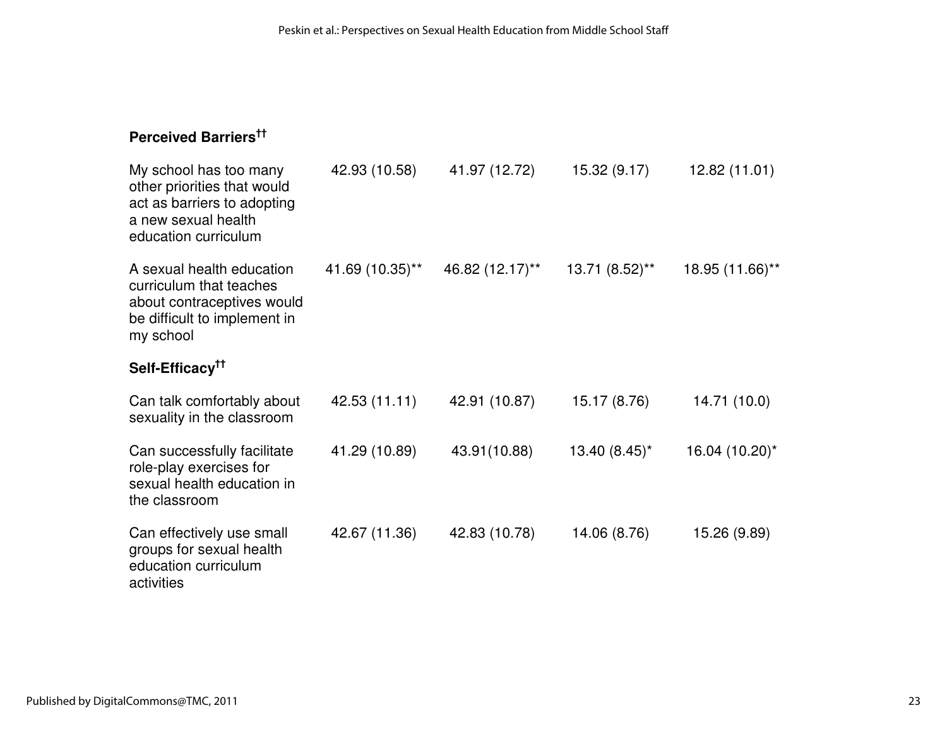# **Perceived Barriers††**

| My school has too many<br>other priorities that would<br>act as barriers to adopting<br>a new sexual health<br>education curriculum | 42.93 (10.58)   | 41.97 (12.72)   | 15.32 (9.17)   | 12.82 (11.01)   |
|-------------------------------------------------------------------------------------------------------------------------------------|-----------------|-----------------|----------------|-----------------|
| A sexual health education<br>curriculum that teaches<br>about contraceptives would<br>be difficult to implement in<br>my school     | 41.69 (10.35)** | 46.82 (12.17)** | 13.71 (8.52)** | 18.95 (11.66)** |
| Self-Efficacy <sup>††</sup>                                                                                                         |                 |                 |                |                 |
| Can talk comfortably about<br>sexuality in the classroom                                                                            | 42.53 (11.11)   | 42.91 (10.87)   | 15.17 (8.76)   | 14.71 (10.0)    |
| Can successfully facilitate<br>role-play exercises for<br>sexual health education in<br>the classroom                               | 41.29 (10.89)   | 43.91(10.88)    | 13.40 (8.45)*  | 16.04 (10.20)*  |
| Can effectively use small<br>groups for sexual health<br>education curriculum<br>activities                                         | 42.67 (11.36)   | 42.83 (10.78)   | 14.06 (8.76)   | 15.26 (9.89)    |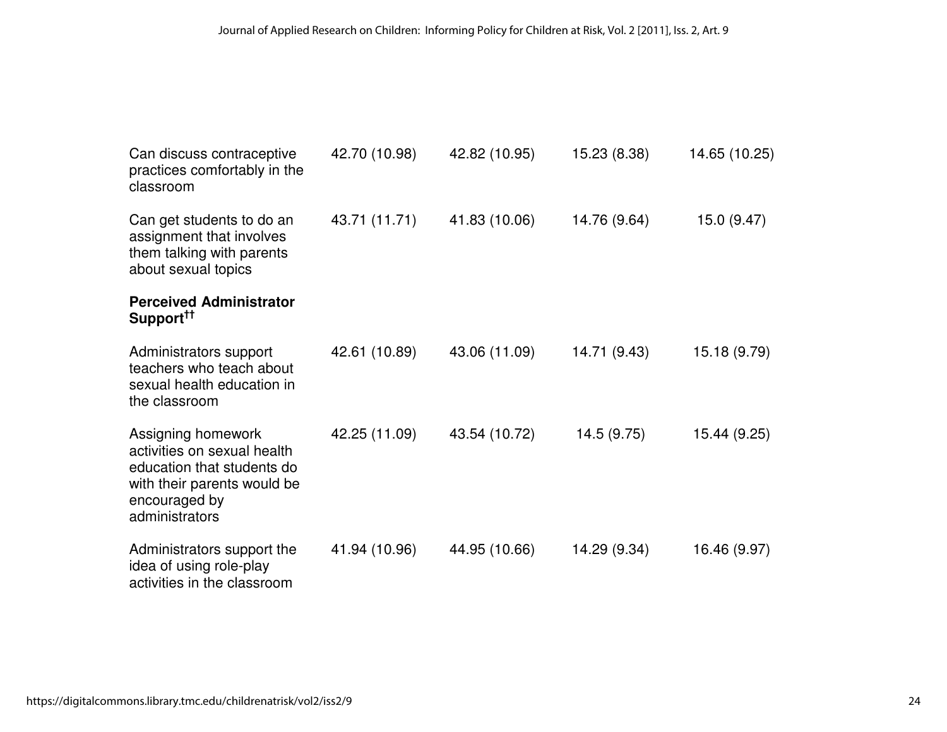| Can discuss contraceptive<br>practices comfortably in the<br>classroom                                                                            | 42.70 (10.98) | 42.82 (10.95) | 15.23 (8.38) | 14.65 (10.25) |
|---------------------------------------------------------------------------------------------------------------------------------------------------|---------------|---------------|--------------|---------------|
| Can get students to do an<br>assignment that involves<br>them talking with parents<br>about sexual topics                                         | 43.71 (11.71) | 41.83 (10.06) | 14.76 (9.64) | 15.0 (9.47)   |
| <b>Perceived Administrator</b><br>Support <sup>††</sup>                                                                                           |               |               |              |               |
| Administrators support<br>teachers who teach about<br>sexual health education in<br>the classroom                                                 | 42.61 (10.89) | 43.06 (11.09) | 14.71 (9.43) | 15.18 (9.79)  |
| Assigning homework<br>activities on sexual health<br>education that students do<br>with their parents would be<br>encouraged by<br>administrators | 42.25 (11.09) | 43.54 (10.72) | 14.5 (9.75)  | 15.44 (9.25)  |
| Administrators support the<br>idea of using role-play<br>activities in the classroom                                                              | 41.94 (10.96) | 44.95 (10.66) | 14.29 (9.34) | 16.46 (9.97)  |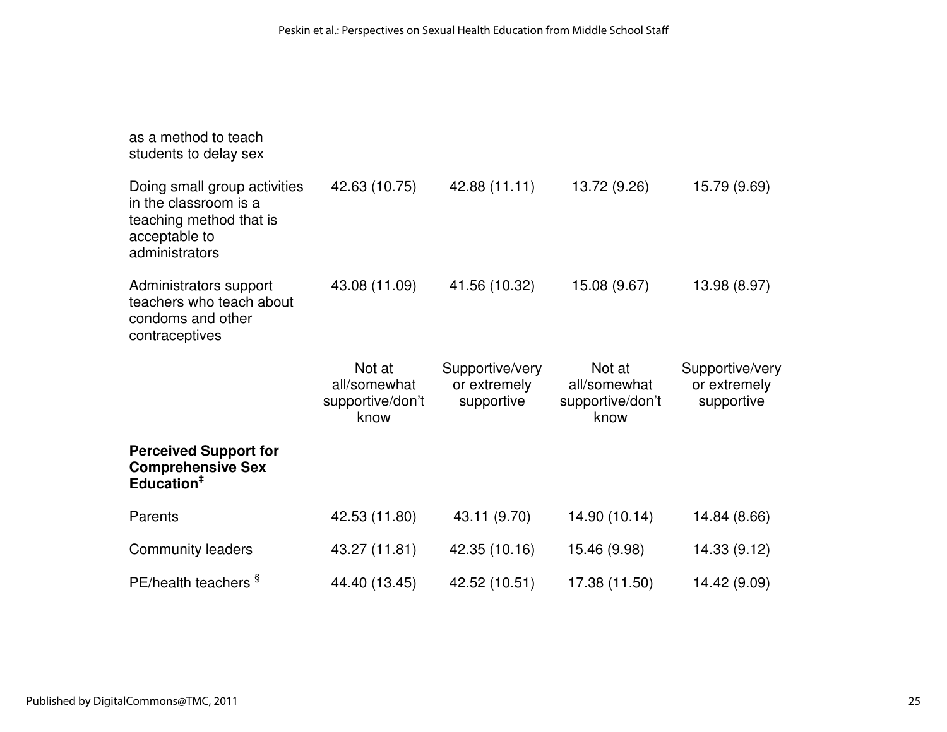| as a method to teach<br>students to delay sex                                                                       |                          |                                 |                          |                                 |
|---------------------------------------------------------------------------------------------------------------------|--------------------------|---------------------------------|--------------------------|---------------------------------|
| Doing small group activities<br>in the classroom is a<br>teaching method that is<br>acceptable to<br>administrators | 42.63 (10.75)            | 42.88 (11.11)                   | 13.72 (9.26)             | 15.79 (9.69)                    |
| Administrators support<br>teachers who teach about<br>condoms and other<br>contraceptives                           | 43.08 (11.09)            | 41.56 (10.32)                   | 15.08 (9.67)             | 13.98 (8.97)                    |
|                                                                                                                     | Not at<br>all/somewhat   | Supportive/very<br>or extremely | Not at<br>all/somewhat   | Supportive/very<br>or extremely |
|                                                                                                                     | supportive/don't<br>know | supportive                      | supportive/don't<br>know | supportive                      |
| <b>Perceived Support for</b><br><b>Comprehensive Sex</b><br>Education <sup>#</sup>                                  |                          |                                 |                          |                                 |
| Parents                                                                                                             | 42.53 (11.80)            | 43.11 (9.70)                    | 14.90 (10.14)            | 14.84 (8.66)                    |
| Community leaders                                                                                                   | 43.27 (11.81)            | 42.35 (10.16)                   | 15.46 (9.98)             | 14.33 (9.12)                    |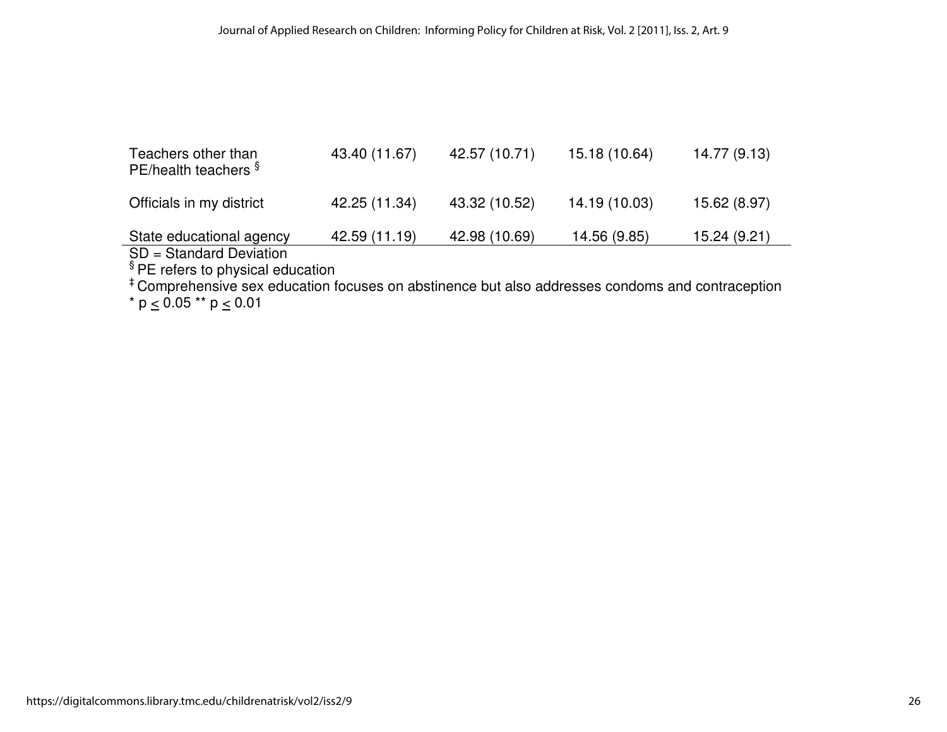| Teachers other than<br>PE/health teachers §           | 43.40 (11.67) | 42.57 (10.71) | 15.18 (10.64) | 14.77 (9.13) |
|-------------------------------------------------------|---------------|---------------|---------------|--------------|
| Officials in my district                              | 42.25 (11.34) | 43.32 (10.52) | 14.19 (10.03) | 15.62 (8.97) |
| State educational agency<br>$SD = Standard Deviation$ | 42.59 (11.19) | 42.98 (10.69) | 14.56 (9.85)  | 15.24 (9.21) |

SD = Standard Deviation<br>§ PE refers to physical education<br><sup>\$</sup> PE refers to physical education focuses on abstinence but also addresses condoms and contraception<br>\* p ≤ 0.05 \*\* p ≤ 0.01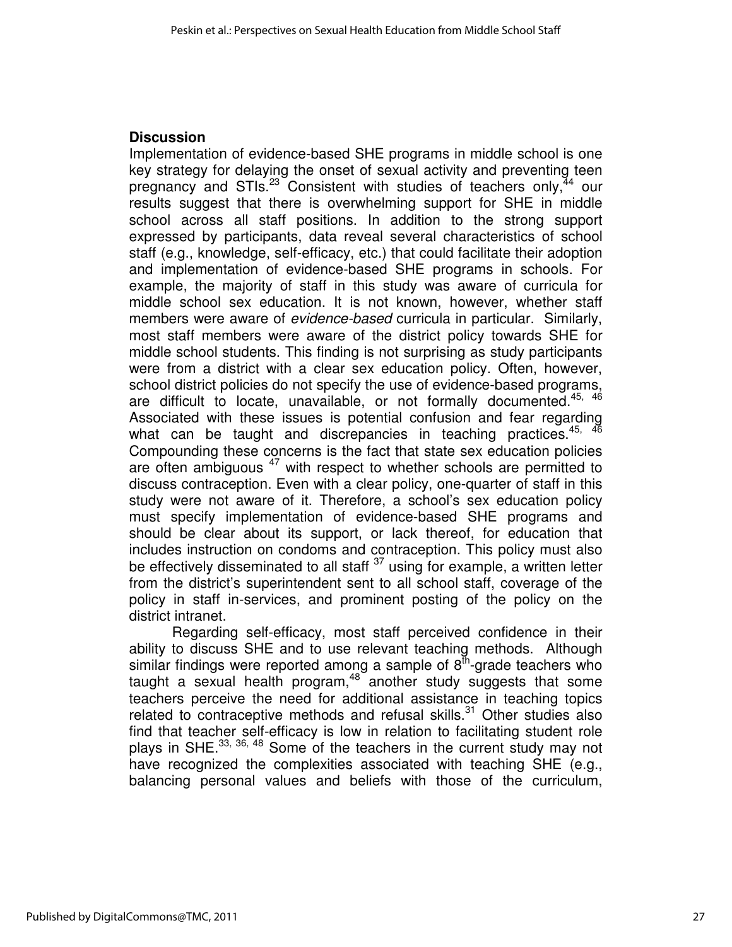### **Discussion**

Implementation of evidence-based SHE programs in middle school is one key strategy for delaying the onset of sexual activity and preventing teen pregnancy and STIs. $23$  Consistent with studies of teachers only,  $44$  our results suggest that there is overwhelming support for SHE in middle school across all staff positions. In addition to the strong support expressed by participants, data reveal several characteristics of school staff (e.g., knowledge, self-efficacy, etc.) that could facilitate their adoption and implementation of evidence-based SHE programs in schools. For example, the majority of staff in this study was aware of curricula for middle school sex education. It is not known, however, whether staff members were aware of *evidence-based* curricula in particular. Similarly, most staff members were aware of the district policy towards SHE for middle school students. This finding is not surprising as study participants were from a district with a clear sex education policy. Often, however, school district policies do not specify the use of evidence-based programs, are difficult to locate, unavailable, or not formally documented.<sup>45, 46</sup> Associated with these issues is potential confusion and fear regarding what can be taught and discrepancies in teaching practices.<sup>45, 46</sup> Compounding these concerns is the fact that state sex education policies are often ambiguous  $47$  with respect to whether schools are permitted to discuss contraception. Even with a clear policy, one-quarter of staff in this study were not aware of it. Therefore, a school's sex education policy must specify implementation of evidence-based SHE programs and should be clear about its support, or lack thereof, for education that includes instruction on condoms and contraception. This policy must also be effectively disseminated to all staff  $37$  using for example, a written letter from the district's superintendent sent to all school staff, coverage of the policy in staff in-services, and prominent posting of the policy on the district intranet.

Regarding self-efficacy, most staff perceived confidence in their ability to discuss SHE and to use relevant teaching methods. Although similar findings were reported among a sample of  $8<sup>th</sup>$ -grade teachers who taught a sexual health program,  $48$  another study suggests that some teachers perceive the need for additional assistance in teaching topics related to contraceptive methods and refusal skills. $31$  Other studies also find that teacher self-efficacy is low in relation to facilitating student role plays in SHE.<sup>33, 36, 48</sup> Some of the teachers in the current study may not have recognized the complexities associated with teaching SHE (e.g., balancing personal values and beliefs with those of the curriculum,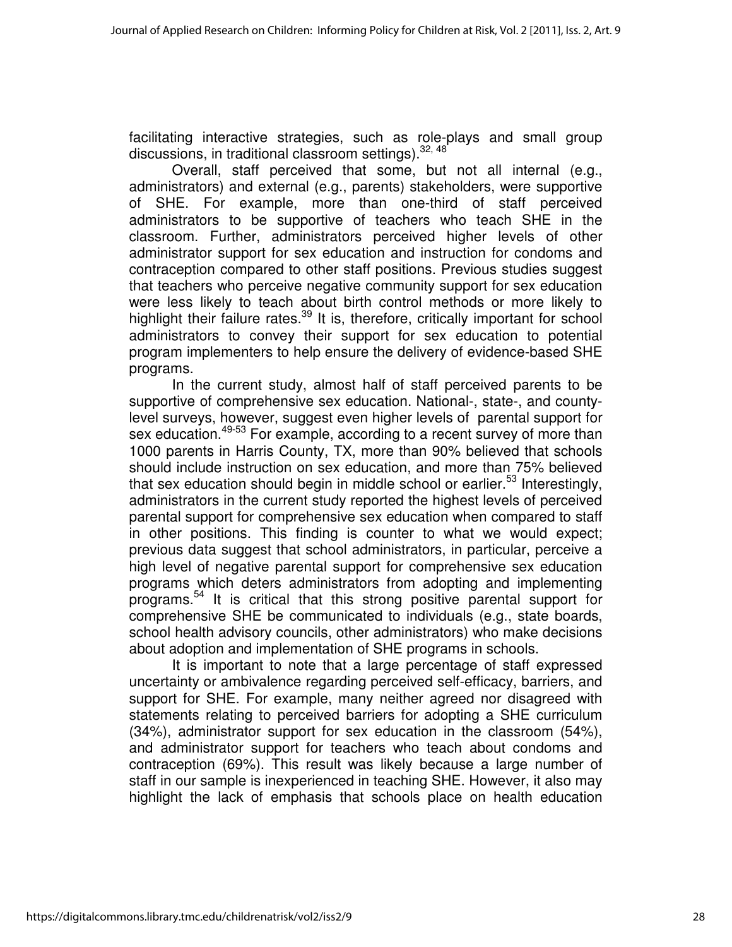facilitating interactive strategies, such as role-plays and small group discussions, in traditional classroom settings). 32, 48

Overall, staff perceived that some, but not all internal (e.g., administrators) and external (e.g., parents) stakeholders, were supportive of SHE. For example, more than one-third of staff perceived administrators to be supportive of teachers who teach SHE in the classroom. Further, administrators perceived higher levels of other administrator support for sex education and instruction for condoms and contraception compared to other staff positions. Previous studies suggest that teachers who perceive negative community support for sex education were less likely to teach about birth control methods or more likely to highlight their failure rates.<sup>39</sup> It is, therefore, critically important for school administrators to convey their support for sex education to potential program implementers to help ensure the delivery of evidence-based SHE programs.

In the current study, almost half of staff perceived parents to be supportive of comprehensive sex education. National-, state-, and countylevel surveys, however, suggest even higher levels of parental support for sex education.<sup>49-53</sup> For example, according to a recent survey of more than 1000 parents in Harris County, TX, more than 90% believed that schools should include instruction on sex education, and more than 75% believed that sex education should begin in middle school or earlier.<sup>53</sup> Interestingly, administrators in the current study reported the highest levels of perceived parental support for comprehensive sex education when compared to staff in other positions. This finding is counter to what we would expect; previous data suggest that school administrators, in particular, perceive a high level of negative parental support for comprehensive sex education programs which deters administrators from adopting and implementing programs.<sup>54</sup> It is critical that this strong positive parental support for comprehensive SHE be communicated to individuals (e.g., state boards, school health advisory councils, other administrators) who make decisions about adoption and implementation of SHE programs in schools.

It is important to note that a large percentage of staff expressed uncertainty or ambivalence regarding perceived self-efficacy, barriers, and support for SHE. For example, many neither agreed nor disagreed with statements relating to perceived barriers for adopting a SHE curriculum (34%), administrator support for sex education in the classroom (54%), and administrator support for teachers who teach about condoms and contraception (69%). This result was likely because a large number of staff in our sample is inexperienced in teaching SHE. However, it also may highlight the lack of emphasis that schools place on health education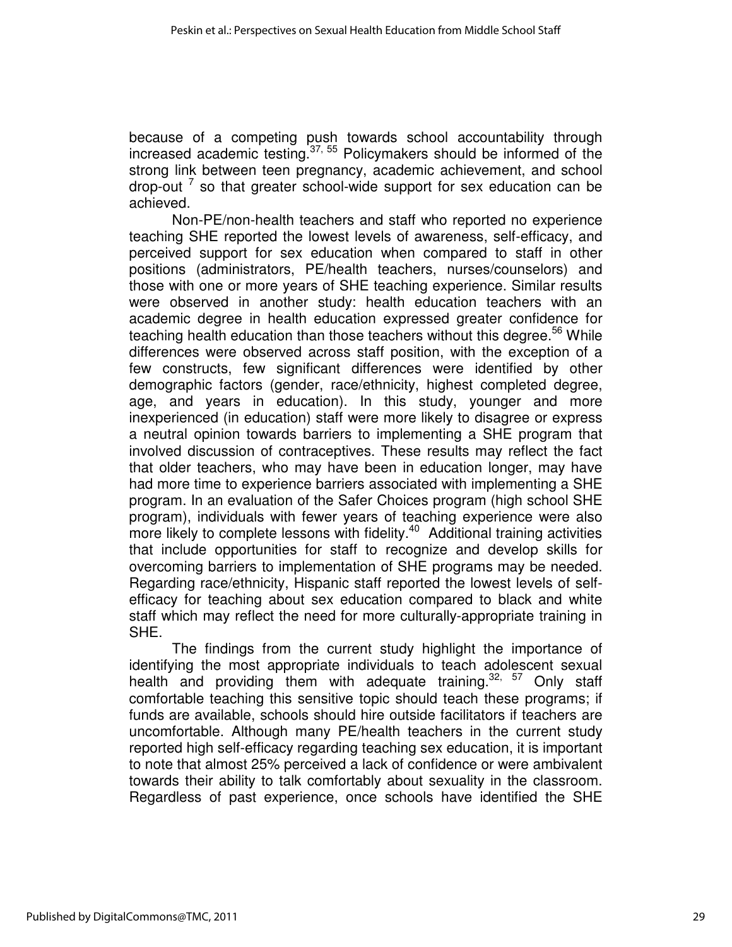because of a competing push towards school accountability through increased academic testing. $37,55$  Policymakers should be informed of the strong link between teen pregnancy, academic achievement, and school drop-out  $<sup>7</sup>$  so that greater school-wide support for sex education can be</sup> achieved.

Non-PE/non-health teachers and staff who reported no experience teaching SHE reported the lowest levels of awareness, self-efficacy, and perceived support for sex education when compared to staff in other positions (administrators, PE/health teachers, nurses/counselors) and those with one or more years of SHE teaching experience. Similar results were observed in another study: health education teachers with an academic degree in health education expressed greater confidence for teaching health education than those teachers without this degree.<sup>56</sup> While differences were observed across staff position, with the exception of a few constructs, few significant differences were identified by other demographic factors (gender, race/ethnicity, highest completed degree, age, and years in education). In this study, younger and more inexperienced (in education) staff were more likely to disagree or express a neutral opinion towards barriers to implementing a SHE program that involved discussion of contraceptives. These results may reflect the fact that older teachers, who may have been in education longer, may have had more time to experience barriers associated with implementing a SHE program. In an evaluation of the Safer Choices program (high school SHE program), individuals with fewer years of teaching experience were also more likely to complete lessons with fidelity.<sup>40</sup> Additional training activities that include opportunities for staff to recognize and develop skills for overcoming barriers to implementation of SHE programs may be needed. Regarding race/ethnicity, Hispanic staff reported the lowest levels of selfefficacy for teaching about sex education compared to black and white staff which may reflect the need for more culturally-appropriate training in SHE.

The findings from the current study highlight the importance of identifying the most appropriate individuals to teach adolescent sexual health and providing them with adequate training.<sup>32, 57</sup> Only staff comfortable teaching this sensitive topic should teach these programs; if funds are available, schools should hire outside facilitators if teachers are uncomfortable. Although many PE/health teachers in the current study reported high self-efficacy regarding teaching sex education, it is important to note that almost 25% perceived a lack of confidence or were ambivalent towards their ability to talk comfortably about sexuality in the classroom. Regardless of past experience, once schools have identified the SHE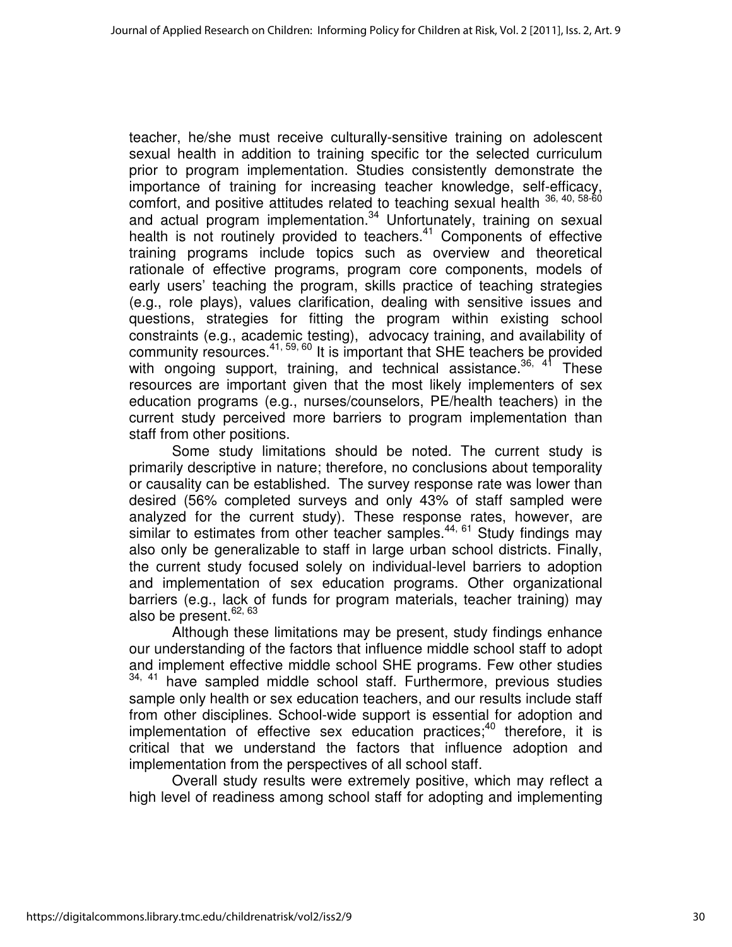teacher, he/she must receive culturally-sensitive training on adolescent sexual health in addition to training specific tor the selected curriculum prior to program implementation. Studies consistently demonstrate the importance of training for increasing teacher knowledge, self-efficacy, comfort, and positive attitudes related to teaching sexual health  $36, 40, 58-60$ and actual program implementation.<sup>34</sup> Unfortunately, training on sexual health is not routinely provided to teachers.<sup>41</sup> Components of effective training programs include topics such as overview and theoretical rationale of effective programs, program core components, models of early users' teaching the program, skills practice of teaching strategies (e.g., role plays), values clarification, dealing with sensitive issues and questions, strategies for fitting the program within existing school constraints (e.g., academic testing), advocacy training, and availability of community resources.41, 59, 60 It is important that SHE teachers be provided with ongoing support, training, and technical assistance.<sup>36, 41</sup> These resources are important given that the most likely implementers of sex education programs (e.g., nurses/counselors, PE/health teachers) in the current study perceived more barriers to program implementation than staff from other positions.

Some study limitations should be noted. The current study is primarily descriptive in nature; therefore, no conclusions about temporality or causality can be established. The survey response rate was lower than desired (56% completed surveys and only 43% of staff sampled were analyzed for the current study). These response rates, however, are similar to estimates from other teacher samples.<sup>44, 61</sup> Study findings may also only be generalizable to staff in large urban school districts. Finally, the current study focused solely on individual-level barriers to adoption and implementation of sex education programs. Other organizational barriers (e.g., lack of funds for program materials, teacher training) may also be present.<sup>62, 63</sup>

Although these limitations may be present, study findings enhance our understanding of the factors that influence middle school staff to adopt and implement effective middle school SHE programs. Few other studies <sup>34, 41</sup> have sampled middle school staff. Furthermore, previous studies sample only health or sex education teachers, and our results include staff from other disciplines. School-wide support is essential for adoption and implementation of effective sex education practices; $40$  therefore, it is critical that we understand the factors that influence adoption and implementation from the perspectives of all school staff.

Overall study results were extremely positive, which may reflect a high level of readiness among school staff for adopting and implementing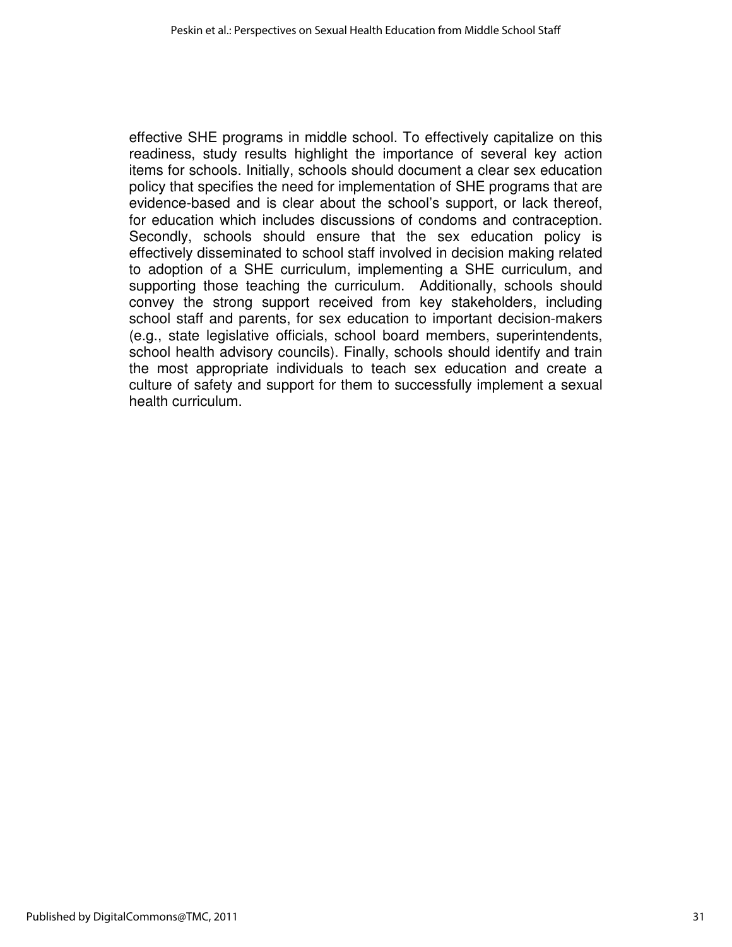effective SHE programs in middle school. To effectively capitalize on this readiness, study results highlight the importance of several key action items for schools. Initially, schools should document a clear sex education policy that specifies the need for implementation of SHE programs that are evidence-based and is clear about the school's support, or lack thereof, for education which includes discussions of condoms and contraception. Secondly, schools should ensure that the sex education policy is effectively disseminated to school staff involved in decision making related to adoption of a SHE curriculum, implementing a SHE curriculum, and supporting those teaching the curriculum. Additionally, schools should convey the strong support received from key stakeholders, including school staff and parents, for sex education to important decision-makers (e.g., state legislative officials, school board members, superintendents, school health advisory councils). Finally, schools should identify and train the most appropriate individuals to teach sex education and create a culture of safety and support for them to successfully implement a sexual health curriculum.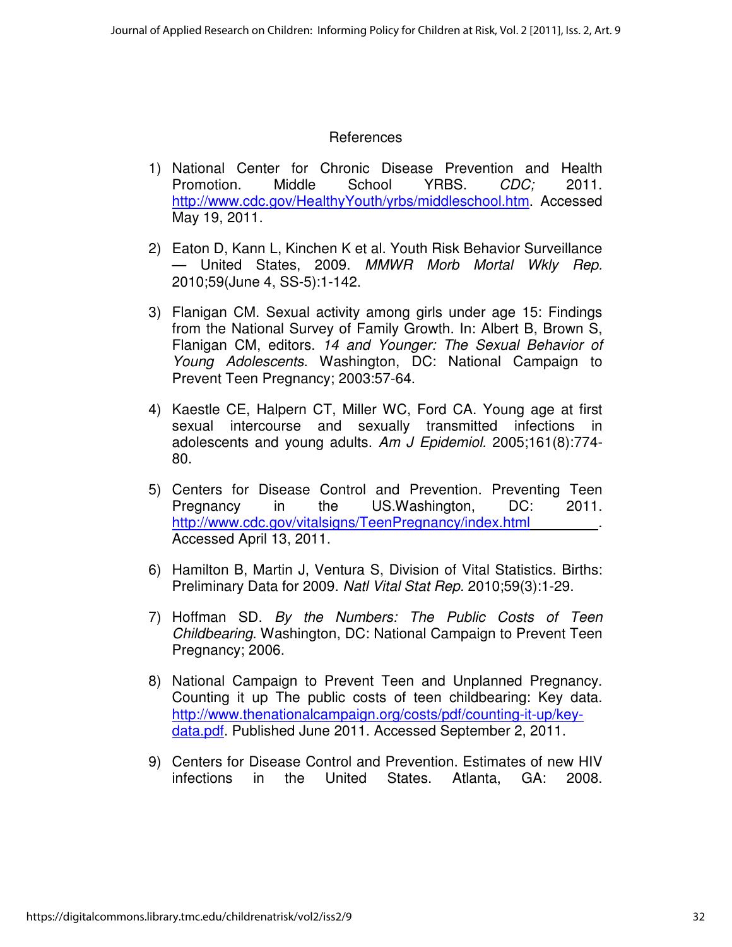## References

- 1) National Center for Chronic Disease Prevention and Health Promotion. Middle School YRBS. CDC: 2011. http://www.cdc.gov/HealthyYouth/yrbs/middleschool.htm. Accessed May 19, 2011.
- 2) Eaton D, Kann L, Kinchen K et al. Youth Risk Behavior Surveillance — United States, 2009. MMWR Morb Mortal Wkly Rep. 2010;59(June 4, SS-5):1-142.
- 3) Flanigan CM. Sexual activity among girls under age 15: Findings from the National Survey of Family Growth. In: Albert B, Brown S, Flanigan CM, editors. 14 and Younger: The Sexual Behavior of Young Adolescents. Washington, DC: National Campaign to Prevent Teen Pregnancy; 2003:57-64.
- 4) Kaestle CE, Halpern CT, Miller WC, Ford CA. Young age at first sexual intercourse and sexually transmitted infections in adolescents and young adults. Am J Epidemiol. 2005;161(8):774- 80.
- 5) Centers for Disease Control and Prevention. Preventing Teen Pregnancy in the US.Washington, DC: 2011. http://www.cdc.gov/vitalsigns/TeenPregnancy/index.html Accessed April 13, 2011.
- 6) Hamilton B, Martin J, Ventura S, Division of Vital Statistics. Births: Preliminary Data for 2009. Natl Vital Stat Rep. 2010;59(3):1-29.
- 7) Hoffman SD. By the Numbers: The Public Costs of Teen Childbearing. Washington, DC: National Campaign to Prevent Teen Pregnancy; 2006.
- 8) National Campaign to Prevent Teen and Unplanned Pregnancy. Counting it up The public costs of teen childbearing: Key data. http://www.thenationalcampaign.org/costs/pdf/counting-it-up/keydata.pdf. Published June 2011. Accessed September 2, 2011.
- 9) Centers for Disease Control and Prevention. Estimates of new HIV infections in the United States. Atlanta, GA: 2008.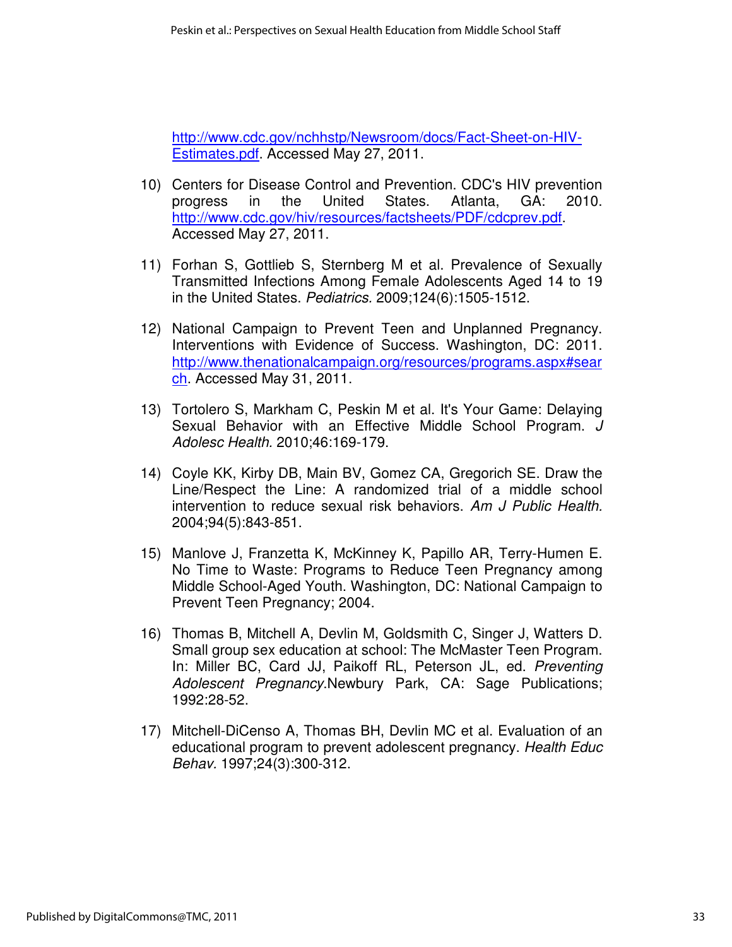http://www.cdc.gov/nchhstp/Newsroom/docs/Fact-Sheet-on-HIV-Estimates.pdf. Accessed May 27, 2011.

- 10) Centers for Disease Control and Prevention. CDC's HIV prevention progress in the United States. Atlanta, GA: 2010. http://www.cdc.gov/hiv/resources/factsheets/PDF/cdcprev.pdf. Accessed May 27, 2011.
- 11) Forhan S, Gottlieb S, Sternberg M et al. Prevalence of Sexually Transmitted Infections Among Female Adolescents Aged 14 to 19 in the United States. Pediatrics. 2009;124(6):1505-1512.
- 12) National Campaign to Prevent Teen and Unplanned Pregnancy. Interventions with Evidence of Success. Washington, DC: 2011. http://www.thenationalcampaign.org/resources/programs.aspx#sear ch. Accessed May 31, 2011.
- 13) Tortolero S, Markham C, Peskin M et al. It's Your Game: Delaying Sexual Behavior with an Effective Middle School Program. J Adolesc Health. 2010;46:169-179.
- 14) Coyle KK, Kirby DB, Main BV, Gomez CA, Gregorich SE. Draw the Line/Respect the Line: A randomized trial of a middle school intervention to reduce sexual risk behaviors. Am J Public Health. 2004;94(5):843-851.
- 15) Manlove J, Franzetta K, McKinney K, Papillo AR, Terry-Humen E. No Time to Waste: Programs to Reduce Teen Pregnancy among Middle School-Aged Youth. Washington, DC: National Campaign to Prevent Teen Pregnancy; 2004.
- 16) Thomas B, Mitchell A, Devlin M, Goldsmith C, Singer J, Watters D. Small group sex education at school: The McMaster Teen Program. In: Miller BC, Card JJ, Paikoff RL, Peterson JL, ed. Preventing Adolescent Pregnancy.Newbury Park, CA: Sage Publications; 1992:28-52.
- 17) Mitchell-DiCenso A, Thomas BH, Devlin MC et al. Evaluation of an educational program to prevent adolescent pregnancy. Health Educ Behav. 1997;24(3):300-312.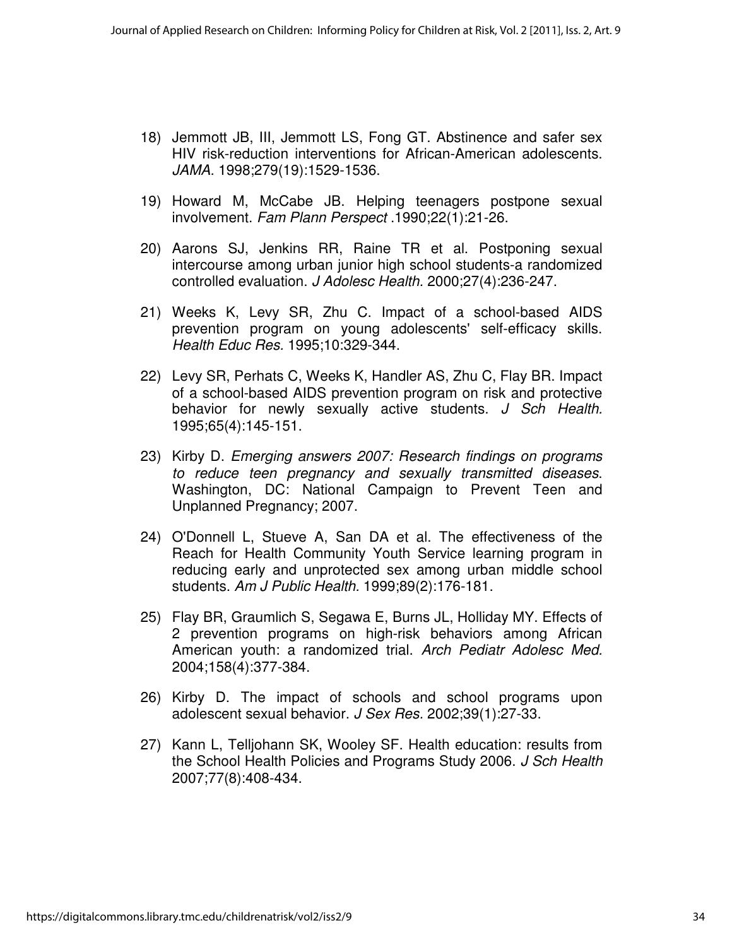- 18) Jemmott JB, III, Jemmott LS, Fong GT. Abstinence and safer sex HIV risk-reduction interventions for African-American adolescents. JAMA. 1998;279(19):1529-1536.
- 19) Howard M, McCabe JB. Helping teenagers postpone sexual involvement. Fam Plann Perspect .1990;22(1):21-26.
- 20) Aarons SJ, Jenkins RR, Raine TR et al. Postponing sexual intercourse among urban junior high school students-a randomized controlled evaluation. J Adolesc Health. 2000;27(4):236-247.
- 21) Weeks K, Levy SR, Zhu C. Impact of a school-based AIDS prevention program on young adolescents' self-efficacy skills. Health Educ Res. 1995;10:329-344.
- 22) Levy SR, Perhats C, Weeks K, Handler AS, Zhu C, Flay BR. Impact of a school-based AIDS prevention program on risk and protective behavior for newly sexually active students. J Sch Health. 1995;65(4):145-151.
- 23) Kirby D. Emerging answers 2007: Research findings on programs to reduce teen pregnancy and sexually transmitted diseases. Washington, DC: National Campaign to Prevent Teen and Unplanned Pregnancy; 2007.
- 24) O'Donnell L, Stueve A, San DA et al. The effectiveness of the Reach for Health Community Youth Service learning program in reducing early and unprotected sex among urban middle school students. Am J Public Health. 1999;89(2):176-181.
- 25) Flay BR, Graumlich S, Segawa E, Burns JL, Holliday MY. Effects of 2 prevention programs on high-risk behaviors among African American youth: a randomized trial. Arch Pediatr Adolesc Med. 2004;158(4):377-384.
- 26) Kirby D. The impact of schools and school programs upon adolescent sexual behavior. J Sex Res. 2002;39(1):27-33.
- 27) Kann L, Telljohann SK, Wooley SF. Health education: results from the School Health Policies and Programs Study 2006. J Sch Health 2007;77(8):408-434.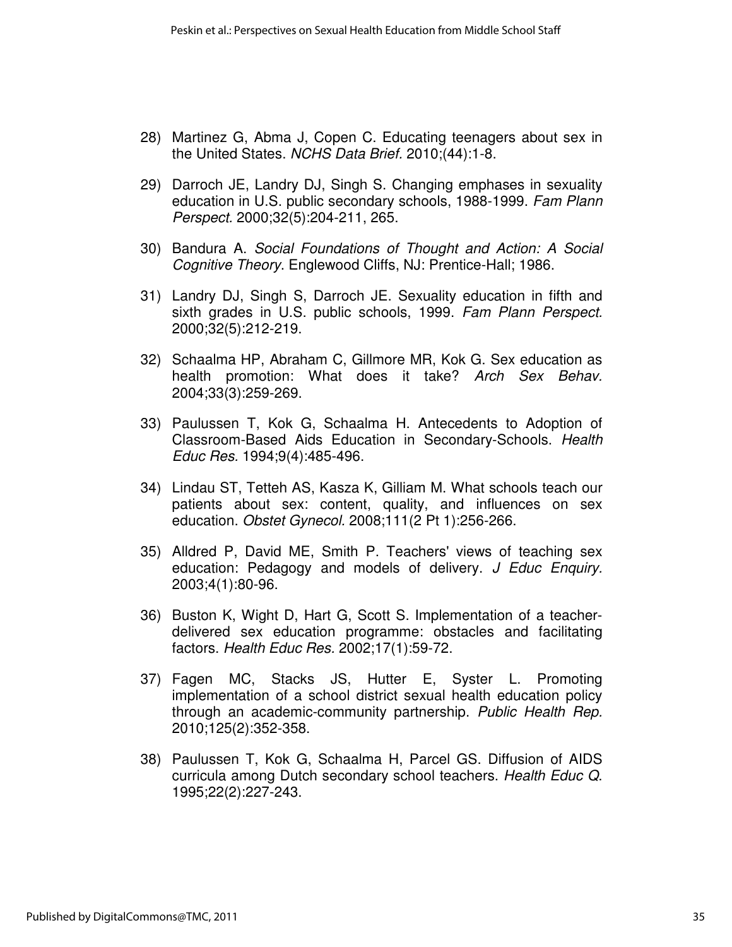- 28) Martinez G, Abma J, Copen C. Educating teenagers about sex in the United States. NCHS Data Brief. 2010;(44):1-8.
- 29) Darroch JE, Landry DJ, Singh S. Changing emphases in sexuality education in U.S. public secondary schools, 1988-1999. Fam Plann Perspect. 2000;32(5):204-211, 265.
- 30) Bandura A. Social Foundations of Thought and Action: A Social Cognitive Theory. Englewood Cliffs, NJ: Prentice-Hall; 1986.
- 31) Landry DJ, Singh S, Darroch JE. Sexuality education in fifth and sixth grades in U.S. public schools, 1999. Fam Plann Perspect. 2000;32(5):212-219.
- 32) Schaalma HP, Abraham C, Gillmore MR, Kok G. Sex education as health promotion: What does it take? Arch Sex Behav. 2004;33(3):259-269.
- 33) Paulussen T, Kok G, Schaalma H. Antecedents to Adoption of Classroom-Based Aids Education in Secondary-Schools. Health Educ Res. 1994;9(4):485-496.
- 34) Lindau ST, Tetteh AS, Kasza K, Gilliam M. What schools teach our patients about sex: content, quality, and influences on sex education. Obstet Gynecol. 2008;111(2 Pt 1):256-266.
- 35) Alldred P, David ME, Smith P. Teachers' views of teaching sex education: Pedagogy and models of delivery. J Educ Enquiry. 2003;4(1):80-96.
- 36) Buston K, Wight D, Hart G, Scott S. Implementation of a teacherdelivered sex education programme: obstacles and facilitating factors. Health Educ Res. 2002;17(1):59-72.
- 37) Fagen MC, Stacks JS, Hutter E, Syster L. Promoting implementation of a school district sexual health education policy through an academic-community partnership. Public Health Rep. 2010;125(2):352-358.
- 38) Paulussen T, Kok G, Schaalma H, Parcel GS. Diffusion of AIDS curricula among Dutch secondary school teachers. Health Educ Q. 1995;22(2):227-243.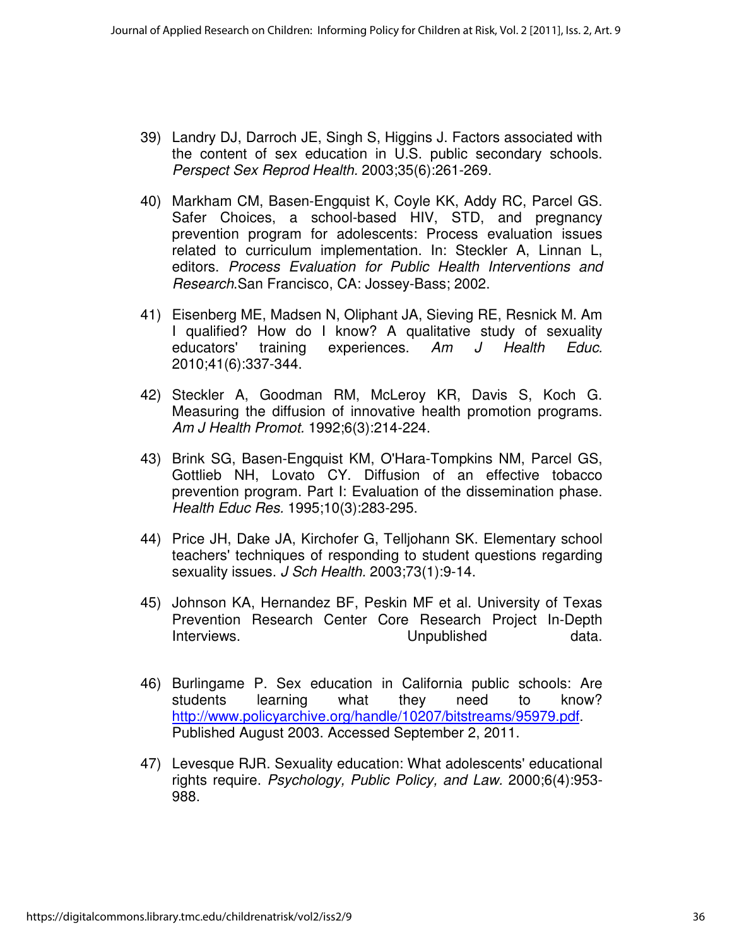- 39) Landry DJ, Darroch JE, Singh S, Higgins J. Factors associated with the content of sex education in U.S. public secondary schools. Perspect Sex Reprod Health. 2003;35(6):261-269.
- 40) Markham CM, Basen-Engquist K, Coyle KK, Addy RC, Parcel GS. Safer Choices, a school-based HIV, STD, and pregnancy prevention program for adolescents: Process evaluation issues related to curriculum implementation. In: Steckler A, Linnan L, editors. Process Evaluation for Public Health Interventions and Research.San Francisco, CA: Jossey-Bass; 2002.
- 41) Eisenberg ME, Madsen N, Oliphant JA, Sieving RE, Resnick M. Am I qualified? How do I know? A qualitative study of sexuality educators' training experiences. Am J Health Educ. 2010;41(6):337-344.
- 42) Steckler A, Goodman RM, McLeroy KR, Davis S, Koch G. Measuring the diffusion of innovative health promotion programs. Am J Health Promot. 1992;6(3):214-224.
- 43) Brink SG, Basen-Engquist KM, O'Hara-Tompkins NM, Parcel GS, Gottlieb NH, Lovato CY. Diffusion of an effective tobacco prevention program. Part I: Evaluation of the dissemination phase. Health Educ Res. 1995;10(3):283-295.
- 44) Price JH, Dake JA, Kirchofer G, Telljohann SK. Elementary school teachers' techniques of responding to student questions regarding sexuality issues. J Sch Health. 2003;73(1):9-14.
- 45) Johnson KA, Hernandez BF, Peskin MF et al. University of Texas Prevention Research Center Core Research Project In-Depth Interviews. **Example 20** Inpublished data.
- 46) Burlingame P. Sex education in California public schools: Are students learning what they need to know? http://www.policyarchive.org/handle/10207/bitstreams/95979.pdf. Published August 2003. Accessed September 2, 2011.
- 47) Levesque RJR. Sexuality education: What adolescents' educational rights require. Psychology, Public Policy, and Law. 2000;6(4):953- 988.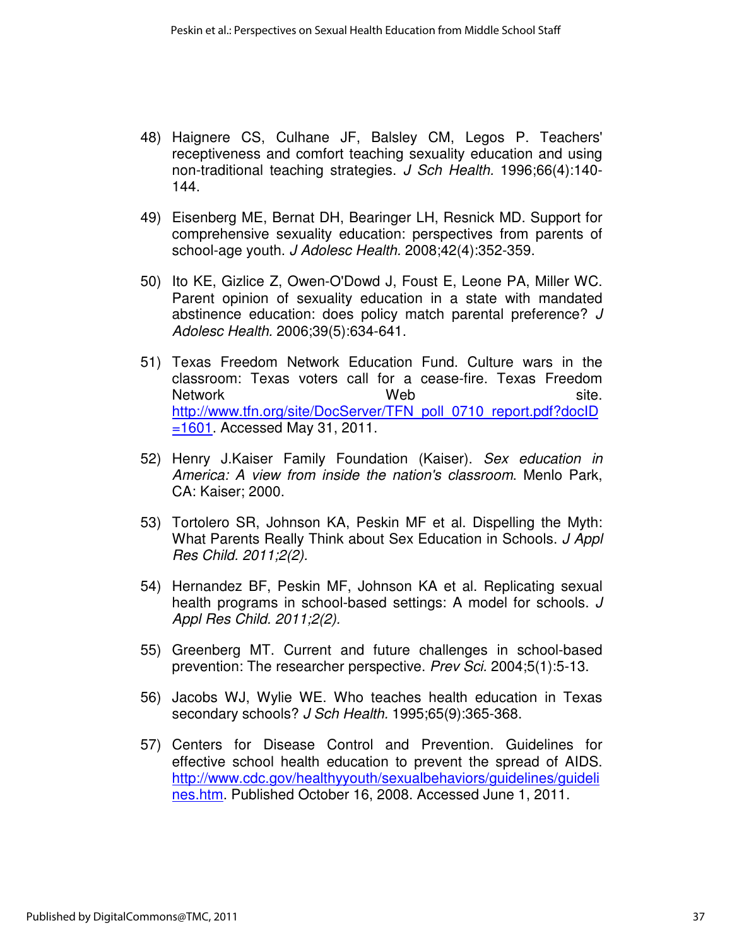- 48) Haignere CS, Culhane JF, Balsley CM, Legos P. Teachers' receptiveness and comfort teaching sexuality education and using non-traditional teaching strategies. J Sch Health. 1996;66(4):140-144.
- 49) Eisenberg ME, Bernat DH, Bearinger LH, Resnick MD. Support for comprehensive sexuality education: perspectives from parents of school-age youth. J Adolesc Health. 2008;42(4):352-359.
- 50) Ito KE, Gizlice Z, Owen-O'Dowd J, Foust E, Leone PA, Miller WC. Parent opinion of sexuality education in a state with mandated abstinence education: does policy match parental preference? J Adolesc Health. 2006;39(5):634-641.
- 51) Texas Freedom Network Education Fund. Culture wars in the classroom: Texas voters call for a cease-fire. Texas Freedom Network **Network** Site. http://www.tfn.org/site/DocServer/TFN\_poll\_0710\_report.pdf?docID =1601. Accessed May 31, 2011.
- 52) Henry J.Kaiser Family Foundation (Kaiser). Sex education in America: A view from inside the nation's classroom. Menlo Park, CA: Kaiser; 2000.
- 53) Tortolero SR, Johnson KA, Peskin MF et al. Dispelling the Myth: What Parents Really Think about Sex Education in Schools. J Appl Res Child. 2011;2(2).
- 54) Hernandez BF, Peskin MF, Johnson KA et al. Replicating sexual health programs in school-based settings: A model for schools. J Appl Res Child. 2011;2(2).
- 55) Greenberg MT. Current and future challenges in school-based prevention: The researcher perspective. Prev Sci. 2004;5(1):5-13.
- 56) Jacobs WJ, Wylie WE. Who teaches health education in Texas secondary schools? J Sch Health. 1995;65(9):365-368.
- 57) Centers for Disease Control and Prevention. Guidelines for effective school health education to prevent the spread of AIDS. http://www.cdc.gov/healthyyouth/sexualbehaviors/guidelines/guideli nes.htm. Published October 16, 2008. Accessed June 1, 2011.